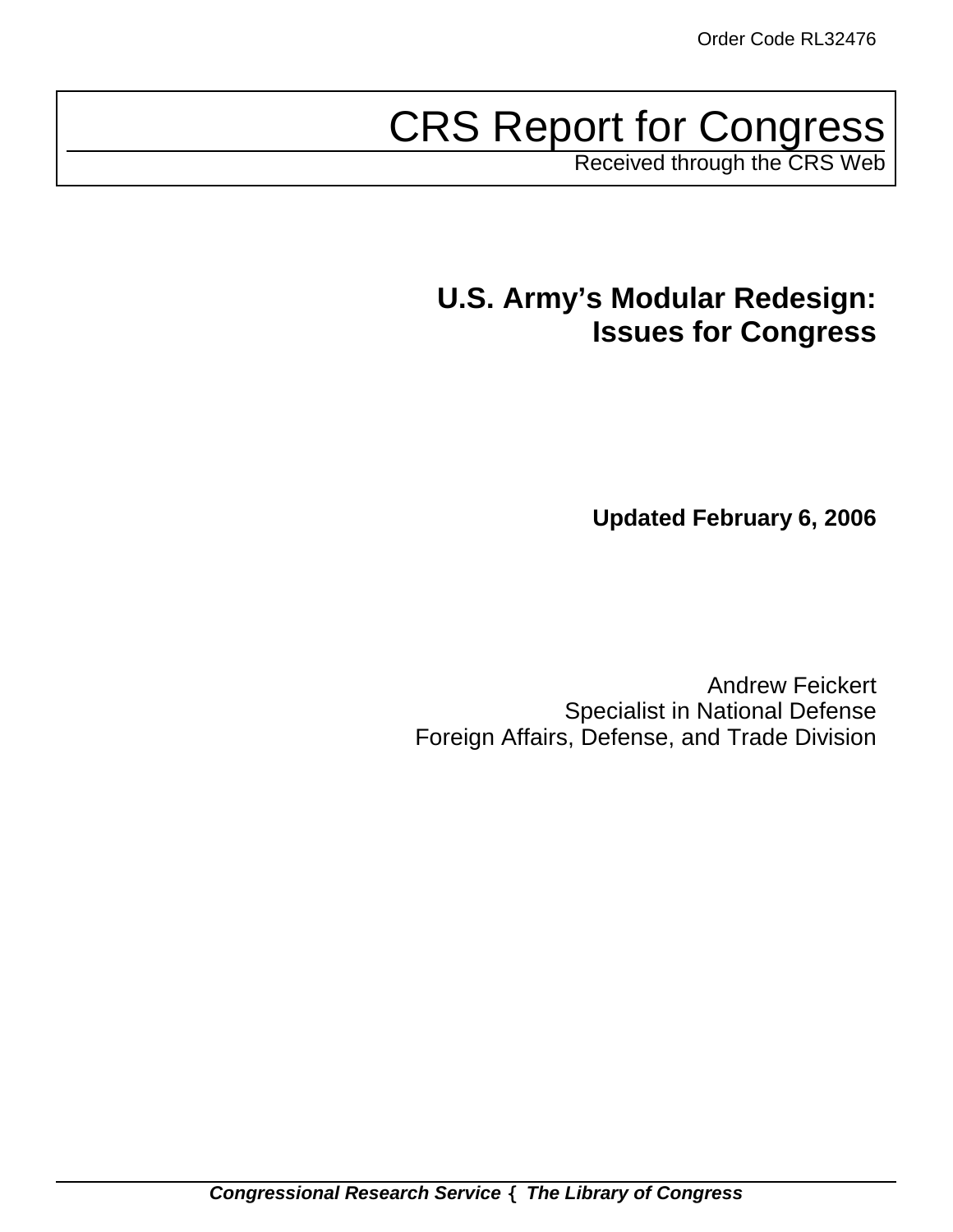# CRS Report for Congress

Received through the CRS Web

# **U.S. Army's Modular Redesign: Issues for Congress**

**Updated February 6, 2006**

Andrew Feickert Specialist in National Defense Foreign Affairs, Defense, and Trade Division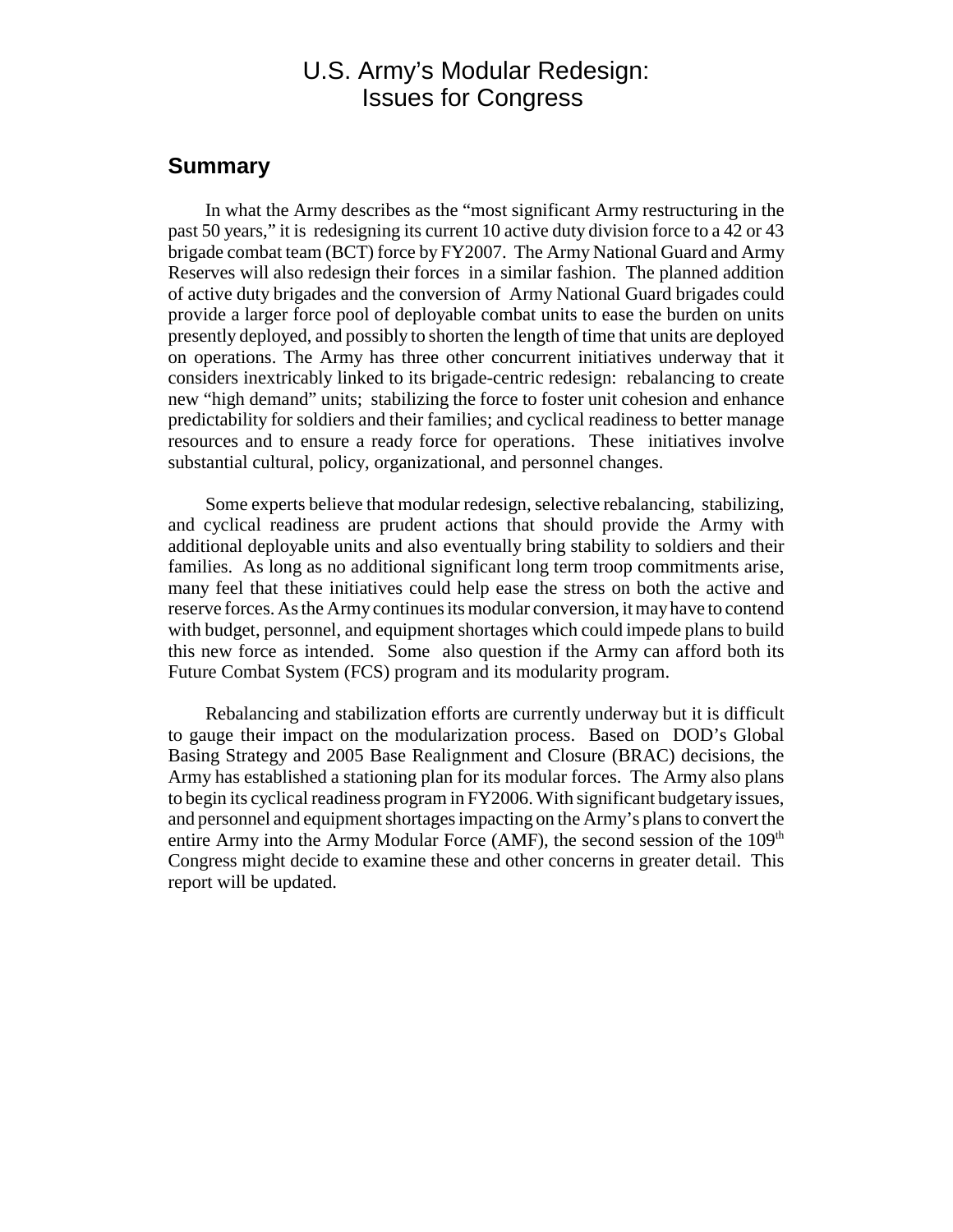# U.S. Army's Modular Redesign: Issues for Congress

# **Summary**

In what the Army describes as the "most significant Army restructuring in the past 50 years," it is redesigning its current 10 active duty division force to a 42 or 43 brigade combat team (BCT) force by FY2007. The Army National Guard and Army Reserves will also redesign their forces in a similar fashion. The planned addition of active duty brigades and the conversion of Army National Guard brigades could provide a larger force pool of deployable combat units to ease the burden on units presently deployed, and possibly to shorten the length of time that units are deployed on operations. The Army has three other concurrent initiatives underway that it considers inextricably linked to its brigade-centric redesign: rebalancing to create new "high demand" units; stabilizing the force to foster unit cohesion and enhance predictability for soldiers and their families; and cyclical readiness to better manage resources and to ensure a ready force for operations. These initiatives involve substantial cultural, policy, organizational, and personnel changes.

Some experts believe that modular redesign, selective rebalancing, stabilizing, and cyclical readiness are prudent actions that should provide the Army with additional deployable units and also eventually bring stability to soldiers and their families. As long as no additional significant long term troop commitments arise, many feel that these initiatives could help ease the stress on both the active and reserve forces. As the Army continues its modular conversion, it may have to contend with budget, personnel, and equipment shortages which could impede plans to build this new force as intended. Some also question if the Army can afford both its Future Combat System (FCS) program and its modularity program.

Rebalancing and stabilization efforts are currently underway but it is difficult to gauge their impact on the modularization process. Based on DOD's Global Basing Strategy and 2005 Base Realignment and Closure (BRAC) decisions, the Army has established a stationing plan for its modular forces. The Army also plans to begin its cyclical readiness program in FY2006. With significant budgetary issues, and personnel and equipment shortages impacting on the Army's plans to convert the entire Army into the Army Modular Force (AMF), the second session of the  $109<sup>th</sup>$ Congress might decide to examine these and other concerns in greater detail. This report will be updated.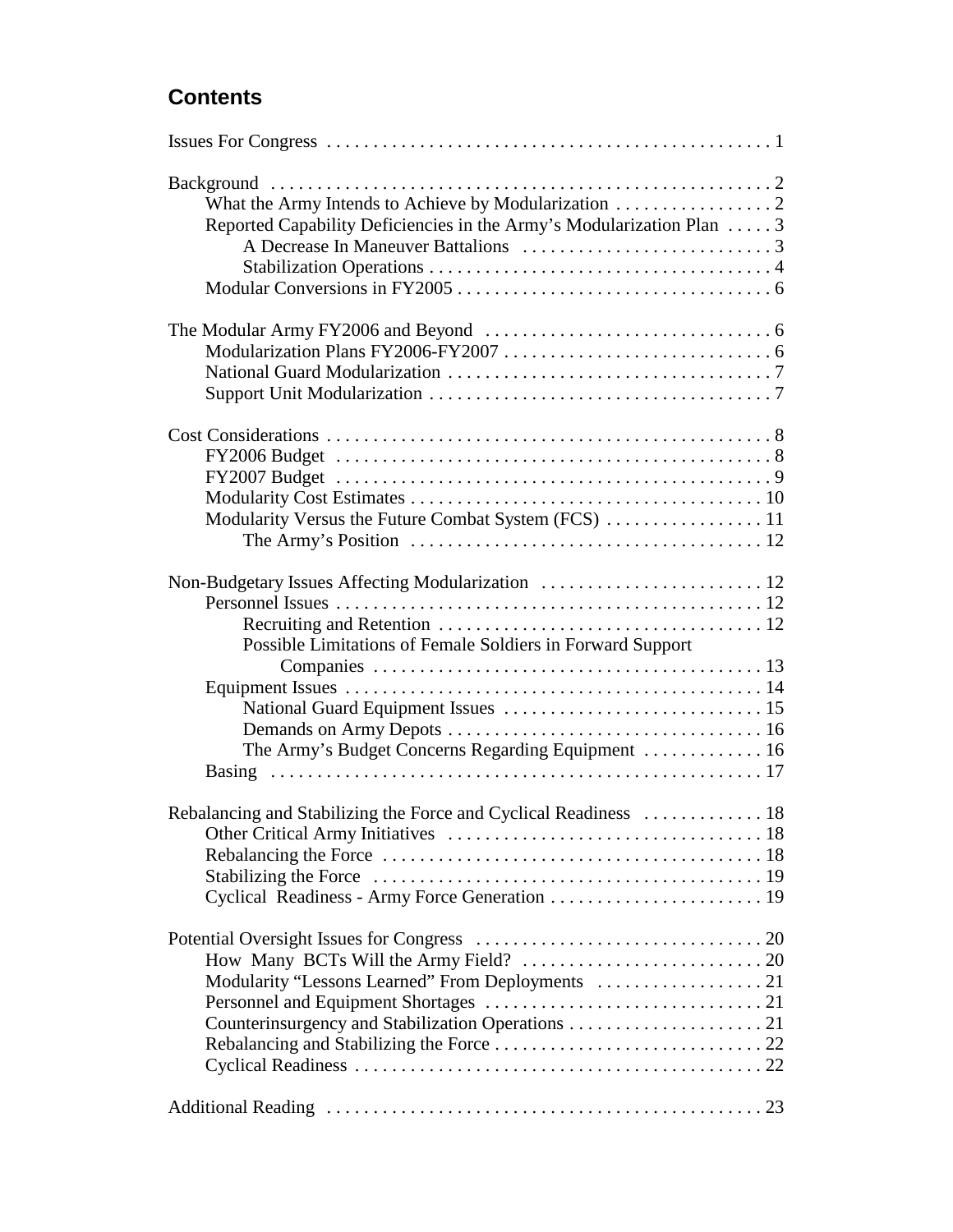# **Contents**

| Background<br>Reported Capability Deficiencies in the Army's Modularization Plan  3                                                                                  |  |
|----------------------------------------------------------------------------------------------------------------------------------------------------------------------|--|
|                                                                                                                                                                      |  |
| Modularity Versus the Future Combat System (FCS)  11<br>The Army's Position $\ldots \ldots \ldots \ldots \ldots \ldots \ldots \ldots \ldots \ldots \ldots \ldots 12$ |  |
| Possible Limitations of Female Soldiers in Forward Support                                                                                                           |  |
|                                                                                                                                                                      |  |
|                                                                                                                                                                      |  |
|                                                                                                                                                                      |  |
|                                                                                                                                                                      |  |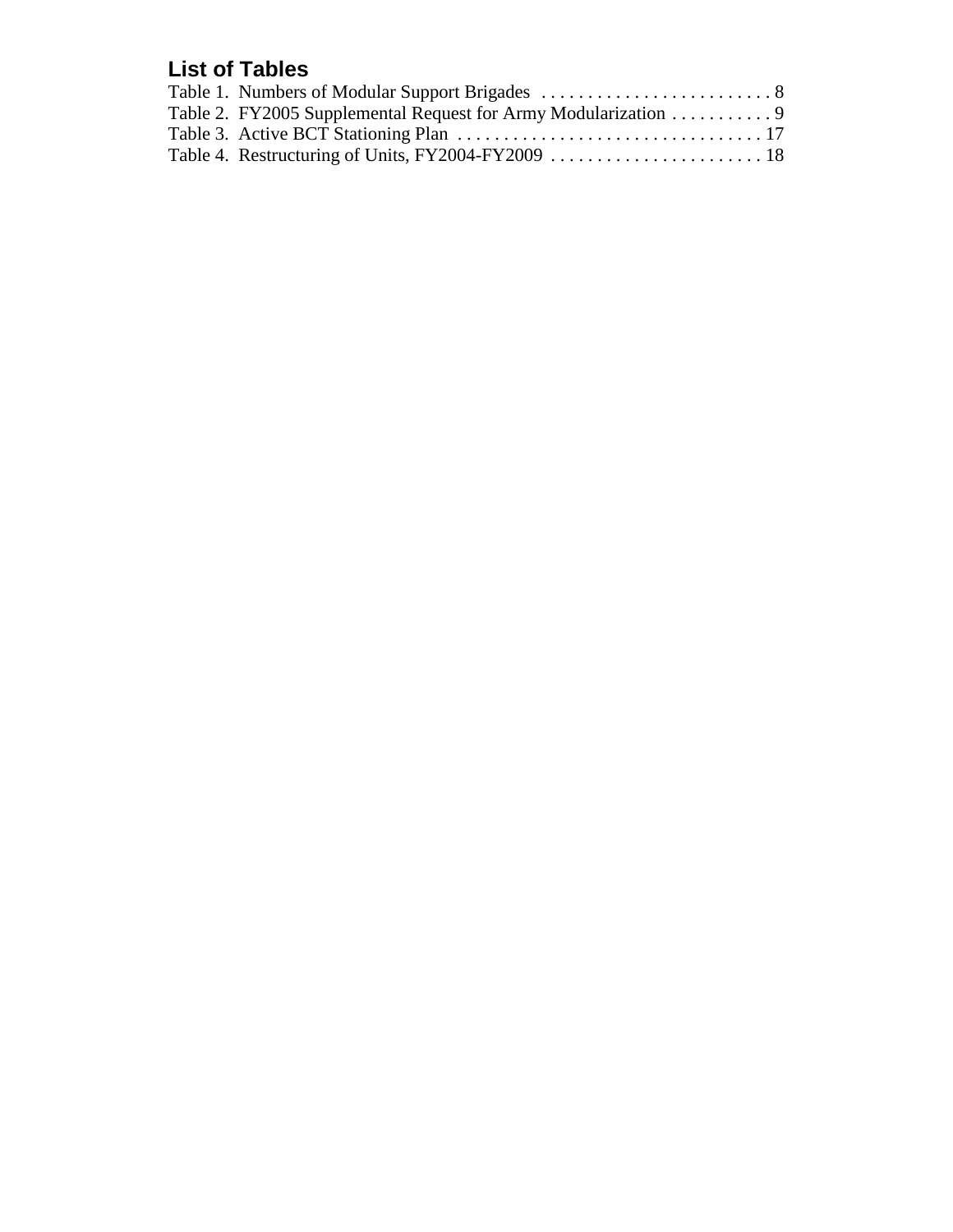# **List of Tables**

| Table 2. FY2005 Supplemental Request for Army Modularization 9 |  |
|----------------------------------------------------------------|--|
|                                                                |  |
|                                                                |  |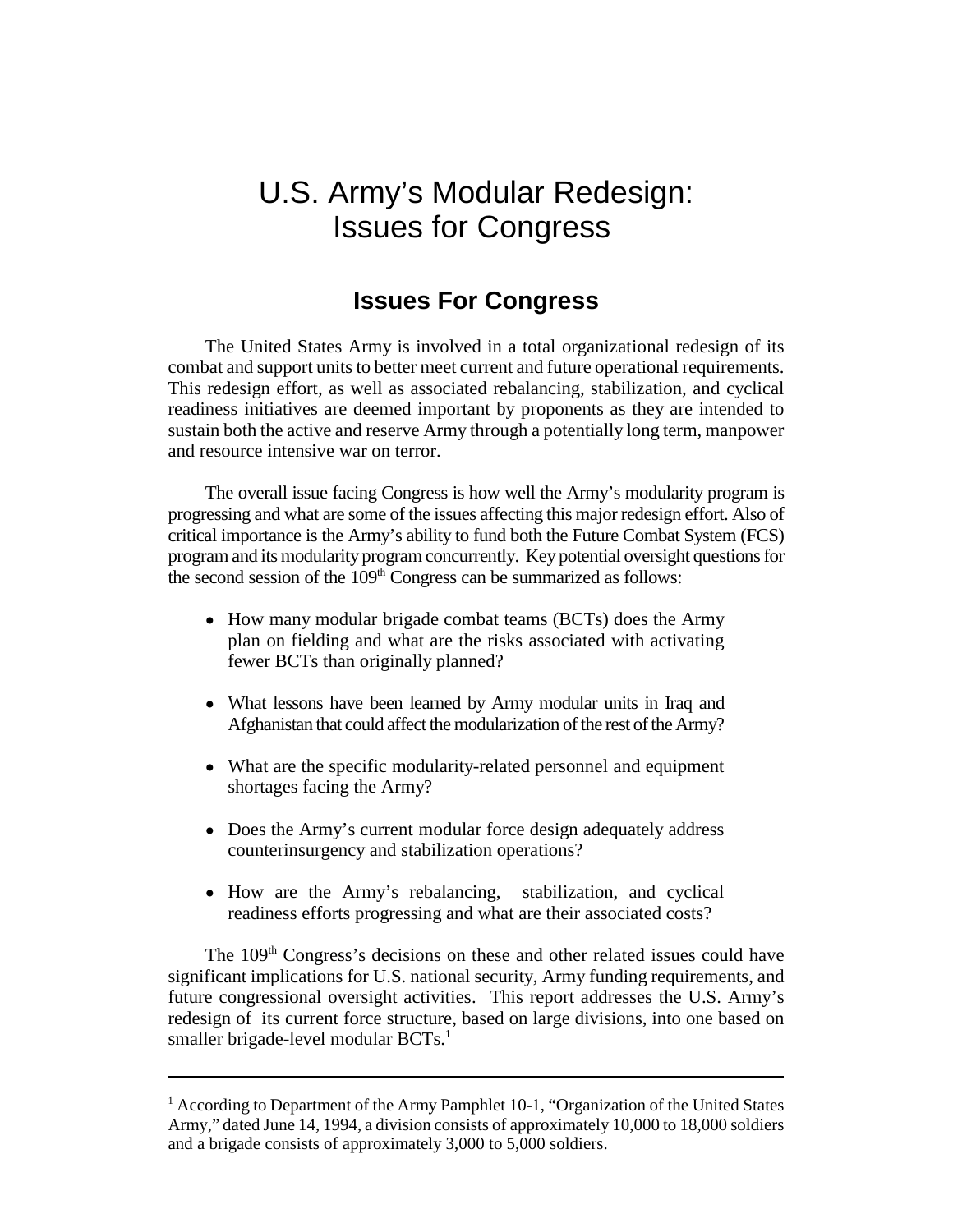# U.S. Army's Modular Redesign: Issues for Congress

# **Issues For Congress**

The United States Army is involved in a total organizational redesign of its combat and support units to better meet current and future operational requirements. This redesign effort, as well as associated rebalancing, stabilization, and cyclical readiness initiatives are deemed important by proponents as they are intended to sustain both the active and reserve Army through a potentially long term, manpower and resource intensive war on terror.

The overall issue facing Congress is how well the Army's modularity program is progressing and what are some of the issues affecting this major redesign effort. Also of critical importance is the Army's ability to fund both the Future Combat System (FCS) program and its modularity program concurrently. Key potential oversight questions for the second session of the  $109<sup>th</sup>$  Congress can be summarized as follows:

- How many modular brigade combat teams (BCTs) does the Army plan on fielding and what are the risks associated with activating fewer BCTs than originally planned?
- What lessons have been learned by Army modular units in Iraq and Afghanistan that could affect the modularization of the rest of the Army?
- ! What are the specific modularity-related personnel and equipment shortages facing the Army?
- Does the Army's current modular force design adequately address counterinsurgency and stabilization operations?
- How are the Army's rebalancing, stabilization, and cyclical readiness efforts progressing and what are their associated costs?

The 109<sup>th</sup> Congress's decisions on these and other related issues could have significant implications for U.S. national security, Army funding requirements, and future congressional oversight activities. This report addresses the U.S. Army's redesign of its current force structure, based on large divisions, into one based on smaller brigade-level modular  $BCTs<sup>1</sup>$ .

<sup>&</sup>lt;sup>1</sup> According to Department of the Army Pamphlet 10-1, "Organization of the United States Army," dated June 14, 1994, a division consists of approximately 10,000 to 18,000 soldiers and a brigade consists of approximately 3,000 to 5,000 soldiers.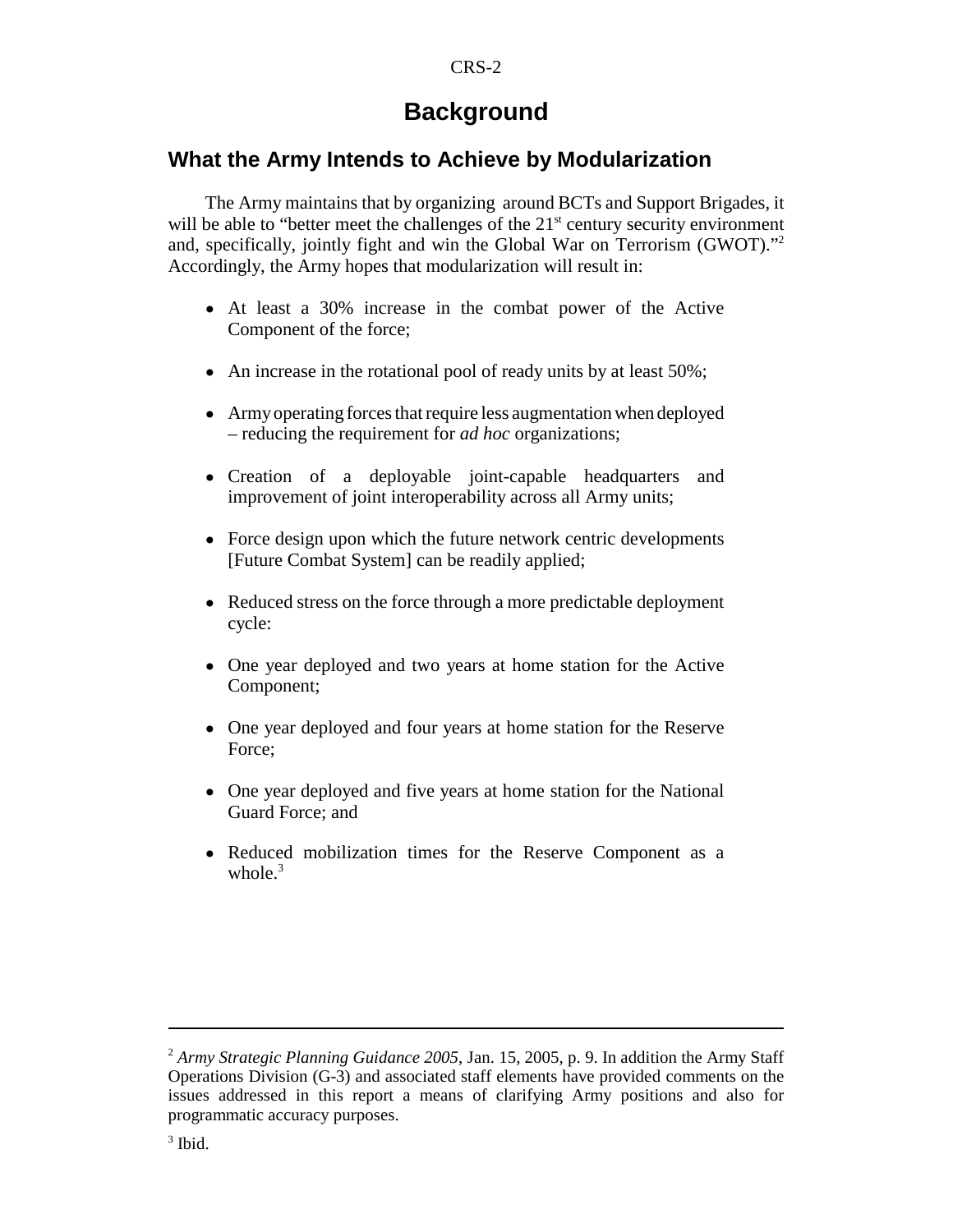# **Background**

# **What the Army Intends to Achieve by Modularization**

The Army maintains that by organizing around BCTs and Support Brigades, it will be able to "better meet the challenges of the  $21<sup>st</sup>$  century security environment and, specifically, jointly fight and win the Global War on Terrorism (GWOT). $^{12}$ Accordingly, the Army hopes that modularization will result in:

- ! At least a 30% increase in the combat power of the Active Component of the force;
- $\bullet$  An increase in the rotational pool of ready units by at least 50%;
- Army operating forces that require less augmentation when deployed – reducing the requirement for *ad hoc* organizations;
- ! Creation of a deployable joint-capable headquarters and improvement of joint interoperability across all Army units;
- Force design upon which the future network centric developments [Future Combat System] can be readily applied;
- Reduced stress on the force through a more predictable deployment cycle:
- One year deployed and two years at home station for the Active Component;
- One year deployed and four years at home station for the Reserve Force;
- One year deployed and five years at home station for the National Guard Force; and
- Reduced mobilization times for the Reserve Component as a whole. $3$

 $3$  Ibid.

<sup>2</sup> *Army Strategic Planning Guidance 2005*, Jan. 15, 2005, p. 9. In addition the Army Staff Operations Division (G-3) and associated staff elements have provided comments on the issues addressed in this report a means of clarifying Army positions and also for programmatic accuracy purposes.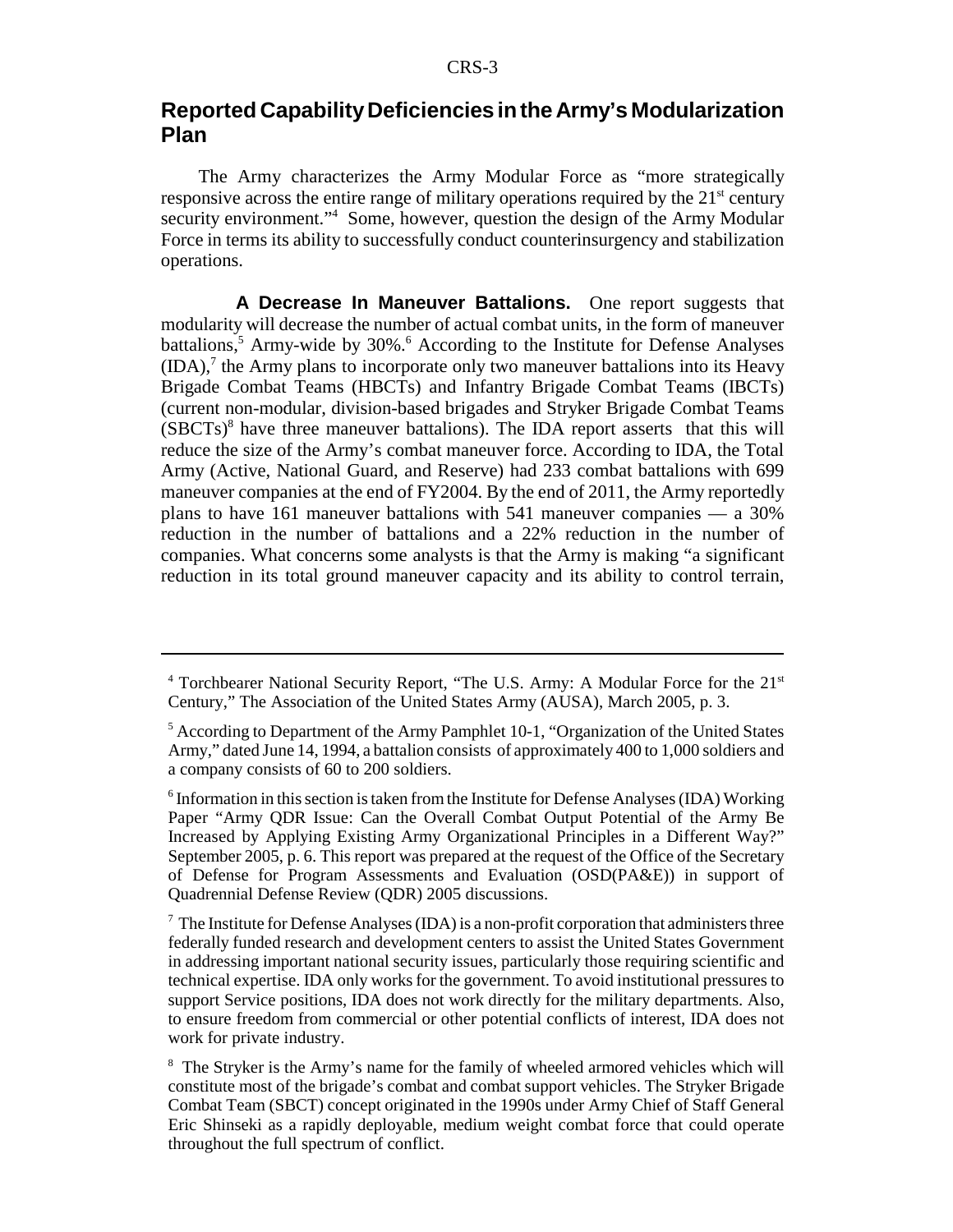# **Reported Capability Deficiencies in the Army's Modularization Plan**

The Army characterizes the Army Modular Force as "more strategically responsive across the entire range of military operations required by the  $21<sup>st</sup>$  century security environment."<sup>4</sup> Some, however, question the design of the Army Modular Force in terms its ability to successfully conduct counterinsurgency and stabilization operations.

**A Decrease In Maneuver Battalions.** One report suggests that modularity will decrease the number of actual combat units, in the form of maneuver battalions,<sup>5</sup> Army-wide by 30%.<sup>6</sup> According to the Institute for Defense Analyses  $(IDA)<sup>7</sup>$  the Army plans to incorporate only two maneuver battalions into its Heavy Brigade Combat Teams (HBCTs) and Infantry Brigade Combat Teams (IBCTs) (current non-modular, division-based brigades and Stryker Brigade Combat Teams  $(SBCTs)<sup>8</sup>$  have three maneuver battalions). The IDA report asserts that this will reduce the size of the Army's combat maneuver force. According to IDA, the Total Army (Active, National Guard, and Reserve) had 233 combat battalions with 699 maneuver companies at the end of FY2004. By the end of 2011, the Army reportedly plans to have 161 maneuver battalions with 541 maneuver companies — a 30% reduction in the number of battalions and a 22% reduction in the number of companies. What concerns some analysts is that the Army is making "a significant reduction in its total ground maneuver capacity and its ability to control terrain,

<sup>&</sup>lt;sup>4</sup> Torchbearer National Security Report, "The U.S. Army: A Modular Force for the 21<sup>st</sup> Century," The Association of the United States Army (AUSA), March 2005, p. 3.

<sup>&</sup>lt;sup>5</sup> According to Department of the Army Pamphlet 10-1, "Organization of the United States Army," dated June 14, 1994, a battalion consists of approximately 400 to 1,000 soldiers and a company consists of 60 to 200 soldiers.

<sup>&</sup>lt;sup>6</sup> Information in this section is taken from the Institute for Defense Analyses (IDA) Working Paper "Army QDR Issue: Can the Overall Combat Output Potential of the Army Be Increased by Applying Existing Army Organizational Principles in a Different Way?" September 2005, p. 6. This report was prepared at the request of the Office of the Secretary of Defense for Program Assessments and Evaluation (OSD(PA&E)) in support of Quadrennial Defense Review (QDR) 2005 discussions.

 $<sup>7</sup>$  The Institute for Defense Analyses (IDA) is a non-profit corporation that administers three</sup> federally funded research and development centers to assist the United States Government in addressing important national security issues, particularly those requiring scientific and technical expertise. IDA only works for the government. To avoid institutional pressures to support Service positions, IDA does not work directly for the military departments. Also, to ensure freedom from commercial or other potential conflicts of interest, IDA does not work for private industry.

<sup>&</sup>lt;sup>8</sup> The Stryker is the Army's name for the family of wheeled armored vehicles which will constitute most of the brigade's combat and combat support vehicles. The Stryker Brigade Combat Team (SBCT) concept originated in the 1990s under Army Chief of Staff General Eric Shinseki as a rapidly deployable, medium weight combat force that could operate throughout the full spectrum of conflict.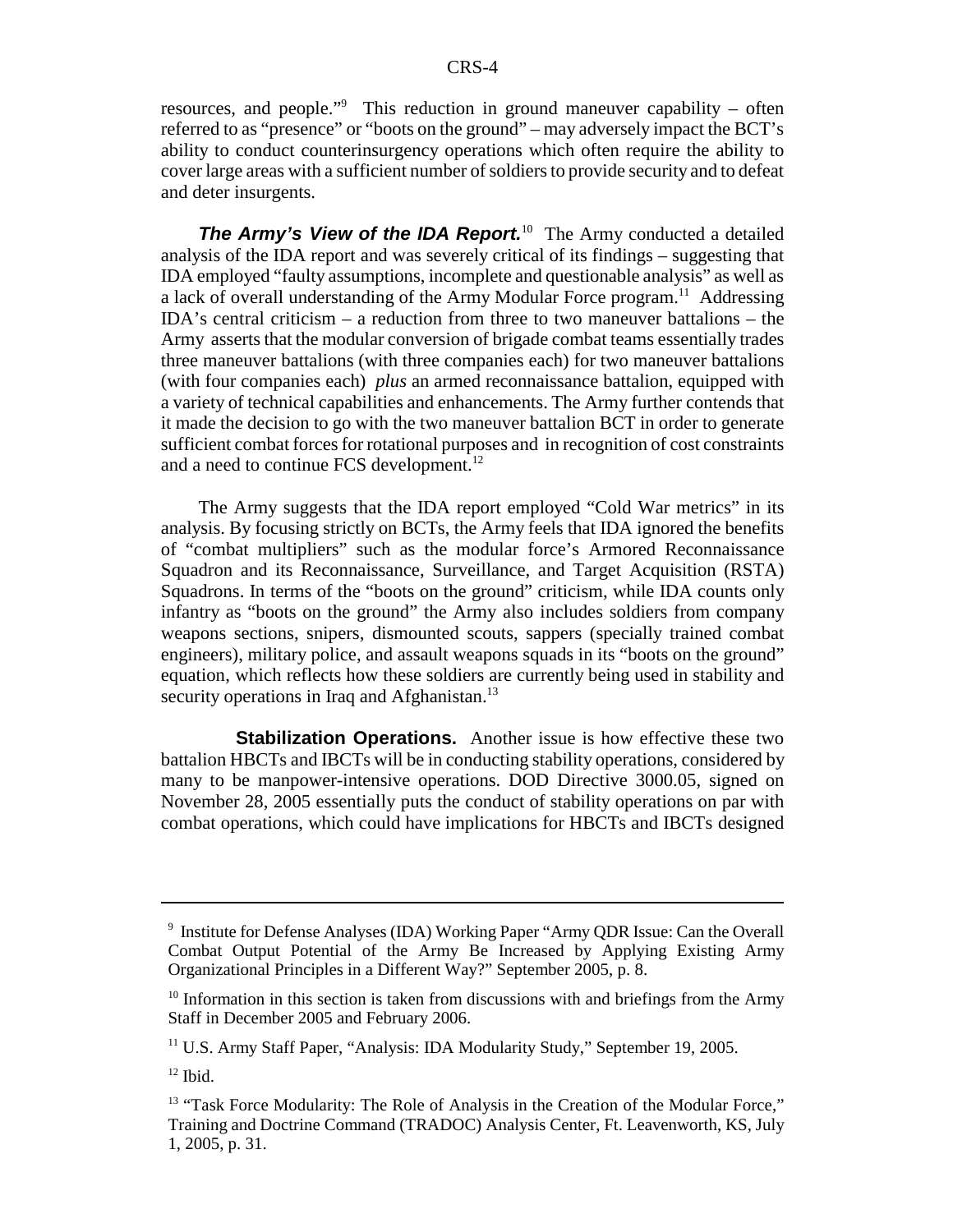resources, and people."<sup>9</sup> This reduction in ground maneuver capability – often referred to as "presence" or "boots on the ground" – may adversely impact the BCT's ability to conduct counterinsurgency operations which often require the ability to cover large areas with a sufficient number of soldiers to provide security and to defeat and deter insurgents.

**The Army's View of the IDA Report.**<sup>10</sup> The Army conducted a detailed analysis of the IDA report and was severely critical of its findings – suggesting that IDA employed "faulty assumptions, incomplete and questionable analysis" as well as a lack of overall understanding of the Army Modular Force program.<sup>11</sup> Addressing IDA's central criticism – a reduction from three to two maneuver battalions – the Army asserts that the modular conversion of brigade combat teams essentially trades three maneuver battalions (with three companies each) for two maneuver battalions (with four companies each) *plus* an armed reconnaissance battalion, equipped with a variety of technical capabilities and enhancements. The Army further contends that it made the decision to go with the two maneuver battalion BCT in order to generate sufficient combat forces for rotational purposes and in recognition of cost constraints and a need to continue FCS development.<sup>12</sup>

The Army suggests that the IDA report employed "Cold War metrics" in its analysis. By focusing strictly on BCTs, the Army feels that IDA ignored the benefits of "combat multipliers" such as the modular force's Armored Reconnaissance Squadron and its Reconnaissance, Surveillance, and Target Acquisition (RSTA) Squadrons. In terms of the "boots on the ground" criticism, while IDA counts only infantry as "boots on the ground" the Army also includes soldiers from company weapons sections, snipers, dismounted scouts, sappers (specially trained combat engineers), military police, and assault weapons squads in its "boots on the ground" equation, which reflects how these soldiers are currently being used in stability and security operations in Iraq and Afghanistan.<sup>13</sup>

**Stabilization Operations.** Another issue is how effective these two battalion HBCTs and IBCTs will be in conducting stability operations, considered by many to be manpower-intensive operations. DOD Directive 3000.05, signed on November 28, 2005 essentially puts the conduct of stability operations on par with combat operations, which could have implications for HBCTs and IBCTs designed

<sup>&</sup>lt;sup>9</sup> Institute for Defense Analyses (IDA) Working Paper "Army QDR Issue: Can the Overall Combat Output Potential of the Army Be Increased by Applying Existing Army Organizational Principles in a Different Way?" September 2005, p. 8.

 $10$  Information in this section is taken from discussions with and briefings from the Army Staff in December 2005 and February 2006.

<sup>11</sup> U.S. Army Staff Paper, "Analysis: IDA Modularity Study," September 19, 2005.

 $12$  Ibid.

<sup>&</sup>lt;sup>13</sup> "Task Force Modularity: The Role of Analysis in the Creation of the Modular Force," Training and Doctrine Command (TRADOC) Analysis Center, Ft. Leavenworth, KS, July 1, 2005, p. 31.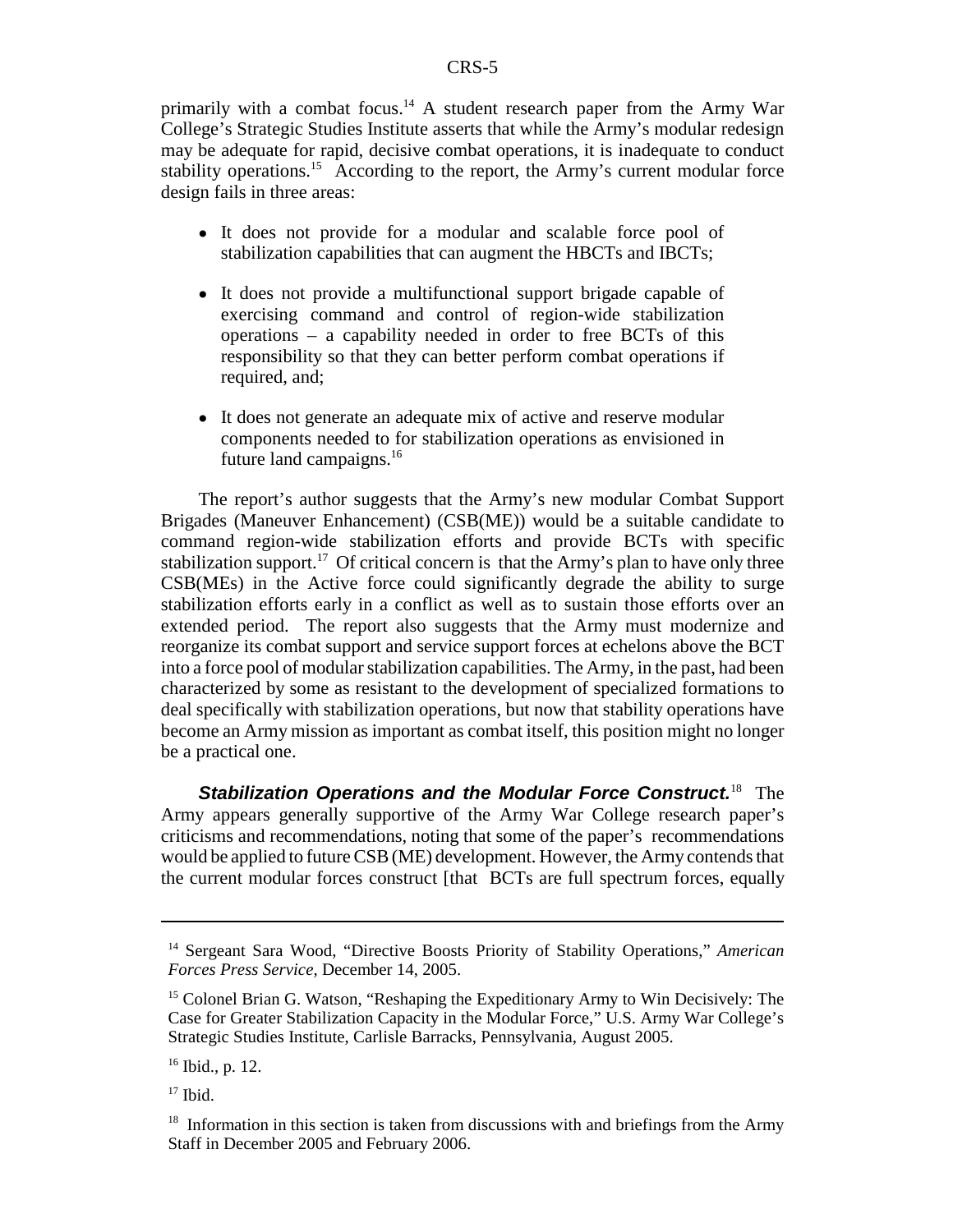primarily with a combat focus.<sup>14</sup> A student research paper from the Army War College's Strategic Studies Institute asserts that while the Army's modular redesign may be adequate for rapid, decisive combat operations, it is inadequate to conduct stability operations.<sup>15</sup> According to the report, the Army's current modular force design fails in three areas:

- It does not provide for a modular and scalable force pool of stabilization capabilities that can augment the HBCTs and IBCTs;
- ! It does not provide a multifunctional support brigade capable of exercising command and control of region-wide stabilization operations – a capability needed in order to free BCTs of this responsibility so that they can better perform combat operations if required, and;
- It does not generate an adequate mix of active and reserve modular components needed to for stabilization operations as envisioned in future land campaigns.<sup>16</sup>

The report's author suggests that the Army's new modular Combat Support Brigades (Maneuver Enhancement) (CSB(ME)) would be a suitable candidate to command region-wide stabilization efforts and provide BCTs with specific stabilization support.<sup>17</sup> Of critical concern is that the Army's plan to have only three CSB(MEs) in the Active force could significantly degrade the ability to surge stabilization efforts early in a conflict as well as to sustain those efforts over an extended period. The report also suggests that the Army must modernize and reorganize its combat support and service support forces at echelons above the BCT into a force pool of modular stabilization capabilities. The Army, in the past, had been characterized by some as resistant to the development of specialized formations to deal specifically with stabilization operations, but now that stability operations have become an Army mission as important as combat itself, this position might no longer be a practical one.

**Stabilization Operations and the Modular Force Construct.**18 The Army appears generally supportive of the Army War College research paper's criticisms and recommendations, noting that some of the paper's recommendations would be applied to future CSB (ME) development. However, the Army contends that the current modular forces construct [that BCTs are full spectrum forces, equally

<sup>14</sup> Sergeant Sara Wood, "Directive Boosts Priority of Stability Operations," *American Forces Press Service,* December 14, 2005.

<sup>&</sup>lt;sup>15</sup> Colonel Brian G. Watson, "Reshaping the Expeditionary Army to Win Decisively: The Case for Greater Stabilization Capacity in the Modular Force," U.S. Army War College's Strategic Studies Institute, Carlisle Barracks, Pennsylvania, August 2005.

 $16$  Ibid., p. 12.

 $17$  Ibid.

 $18$  Information in this section is taken from discussions with and briefings from the Army Staff in December 2005 and February 2006.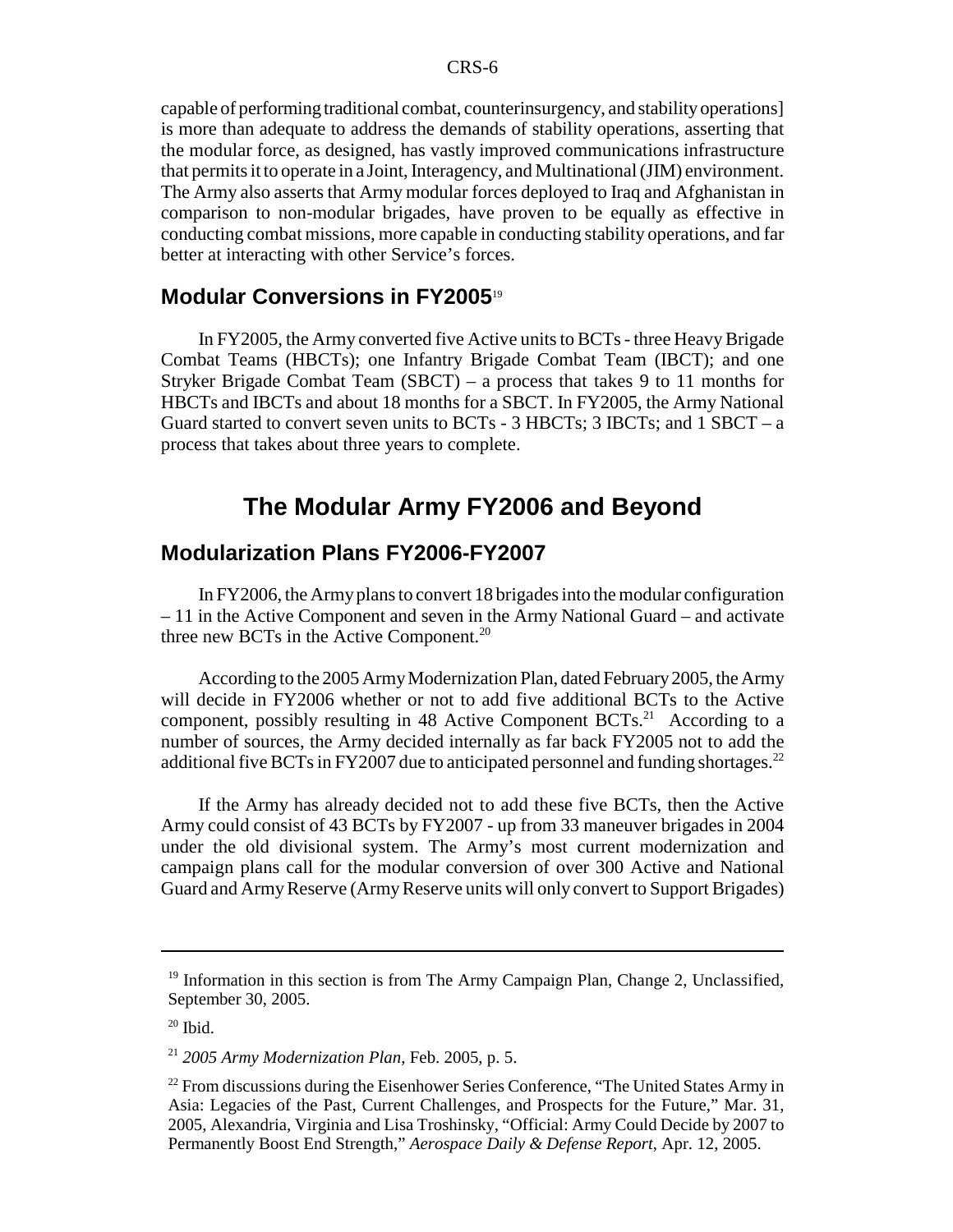capable of performing traditional combat, counterinsurgency, and stability operations] is more than adequate to address the demands of stability operations, asserting that the modular force, as designed, has vastly improved communications infrastructure that permits it to operate in a Joint, Interagency, and Multinational (JIM) environment. The Army also asserts that Army modular forces deployed to Iraq and Afghanistan in comparison to non-modular brigades, have proven to be equally as effective in conducting combat missions, more capable in conducting stability operations, and far better at interacting with other Service's forces.

## **Modular Conversions in FY2005**<sup>19</sup>

In FY2005, the Army converted five Active units to BCTs - three Heavy Brigade Combat Teams (HBCTs); one Infantry Brigade Combat Team (IBCT); and one Stryker Brigade Combat Team (SBCT) – a process that takes 9 to 11 months for HBCTs and IBCTs and about 18 months for a SBCT. In FY2005, the Army National Guard started to convert seven units to BCTs -  $3$  HBCTs;  $3$  IBCTs; and  $1$  SBCT – a process that takes about three years to complete.

# **The Modular Army FY2006 and Beyond**

### **Modularization Plans FY2006-FY2007**

In FY2006, the Army plans to convert 18 brigades into the modular configuration – 11 in the Active Component and seven in the Army National Guard – and activate three new BCTs in the Active Component.<sup>20</sup>

According to the 2005 Army Modernization Plan, dated February 2005, the Army will decide in FY2006 whether or not to add five additional BCTs to the Active component, possibly resulting in 48 Active Component  $BCTs$ <sup>21</sup> According to a number of sources, the Army decided internally as far back FY2005 not to add the additional five BCTs in FY2007 due to anticipated personnel and funding shortages.<sup>22</sup>

If the Army has already decided not to add these five BCTs, then the Active Army could consist of 43 BCTs by FY2007 - up from 33 maneuver brigades in 2004 under the old divisional system. The Army's most current modernization and campaign plans call for the modular conversion of over 300 Active and National Guard and Army Reserve (Army Reserve units will only convert to Support Brigades)

 $19$  Information in this section is from The Army Campaign Plan, Change 2, Unclassified, September 30, 2005.

 $20$  Ibid.

<sup>21</sup> *2005 Army Modernization Plan*, Feb. 2005, p. 5.

<sup>&</sup>lt;sup>22</sup> From discussions during the Eisenhower Series Conference, "The United States Army in Asia: Legacies of the Past, Current Challenges, and Prospects for the Future," Mar. 31, 2005, Alexandria, Virginia and Lisa Troshinsky, "Official: Army Could Decide by 2007 to Permanently Boost End Strength," *Aerospace Daily & Defense Report*, Apr. 12, 2005.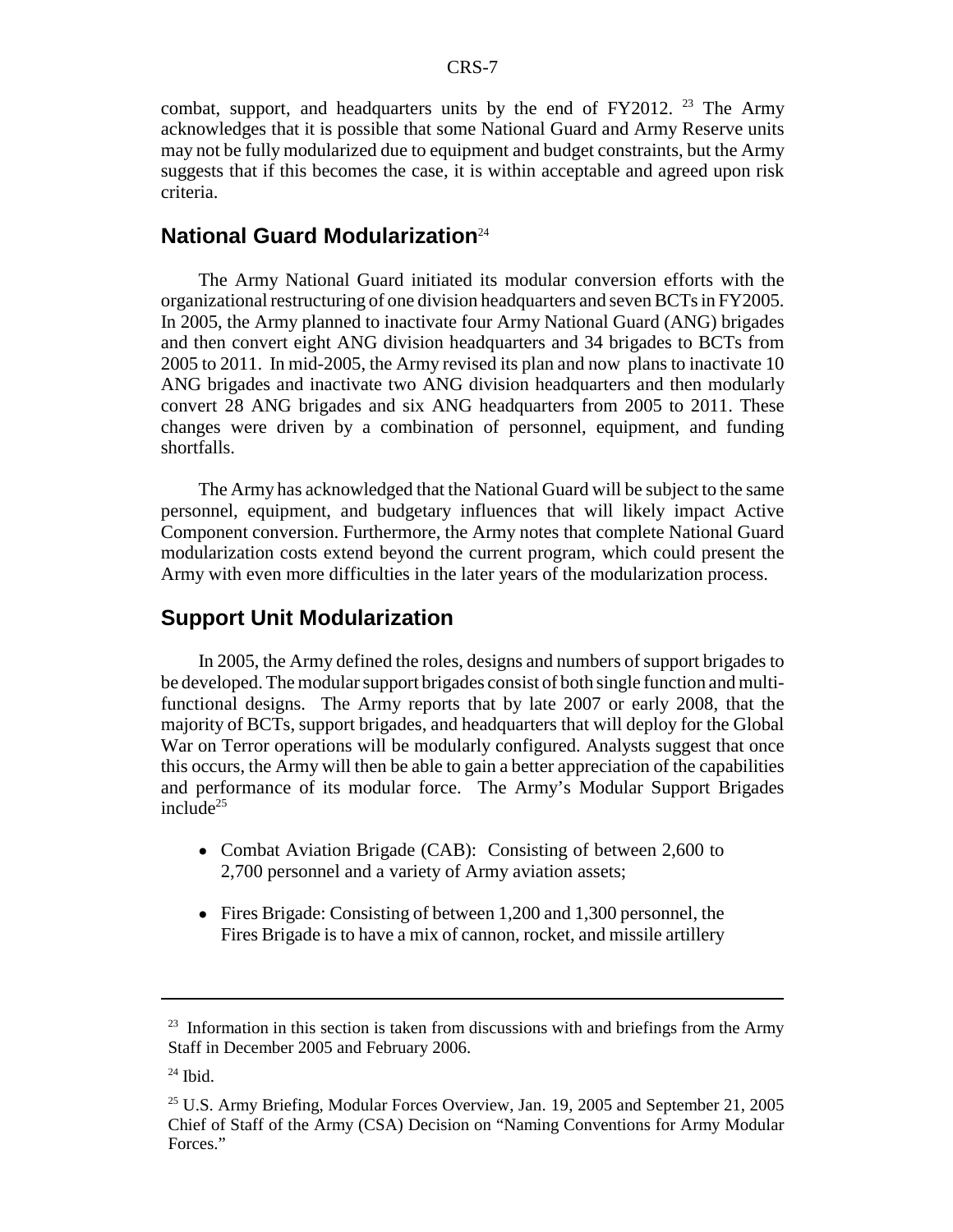combat, support, and headquarters units by the end of  $FY2012$ . <sup>23</sup> The Army acknowledges that it is possible that some National Guard and Army Reserve units may not be fully modularized due to equipment and budget constraints, but the Army suggests that if this becomes the case, it is within acceptable and agreed upon risk criteria.

#### **National Guard Modularization**<sup>24</sup>

The Army National Guard initiated its modular conversion efforts with the organizational restructuring of one division headquarters and seven BCTs in FY2005. In 2005, the Army planned to inactivate four Army National Guard (ANG) brigades and then convert eight ANG division headquarters and 34 brigades to BCTs from 2005 to 2011. In mid-2005, the Army revised its plan and now plans to inactivate 10 ANG brigades and inactivate two ANG division headquarters and then modularly convert 28 ANG brigades and six ANG headquarters from 2005 to 2011. These changes were driven by a combination of personnel, equipment, and funding shortfalls.

The Army has acknowledged that the National Guard will be subject to the same personnel, equipment, and budgetary influences that will likely impact Active Component conversion. Furthermore, the Army notes that complete National Guard modularization costs extend beyond the current program, which could present the Army with even more difficulties in the later years of the modularization process.

### **Support Unit Modularization**

In 2005, the Army defined the roles, designs and numbers of support brigades to be developed. The modular support brigades consist of both single function and multifunctional designs. The Army reports that by late 2007 or early 2008, that the majority of BCTs, support brigades, and headquarters that will deploy for the Global War on Terror operations will be modularly configured. Analysts suggest that once this occurs, the Army will then be able to gain a better appreciation of the capabilities and performance of its modular force. The Army's Modular Support Brigades  $include^{25}$ 

- Combat Aviation Brigade (CAB): Consisting of between 2,600 to 2,700 personnel and a variety of Army aviation assets;
- Fires Brigade: Consisting of between 1,200 and 1,300 personnel, the Fires Brigade is to have a mix of cannon, rocket, and missile artillery

 $23$  Information in this section is taken from discussions with and briefings from the Army Staff in December 2005 and February 2006.

 $24$  Ibid.

<sup>25</sup> U.S. Army Briefing, Modular Forces Overview, Jan. 19, 2005 and September 21, 2005 Chief of Staff of the Army (CSA) Decision on "Naming Conventions for Army Modular Forces<sup>"</sup>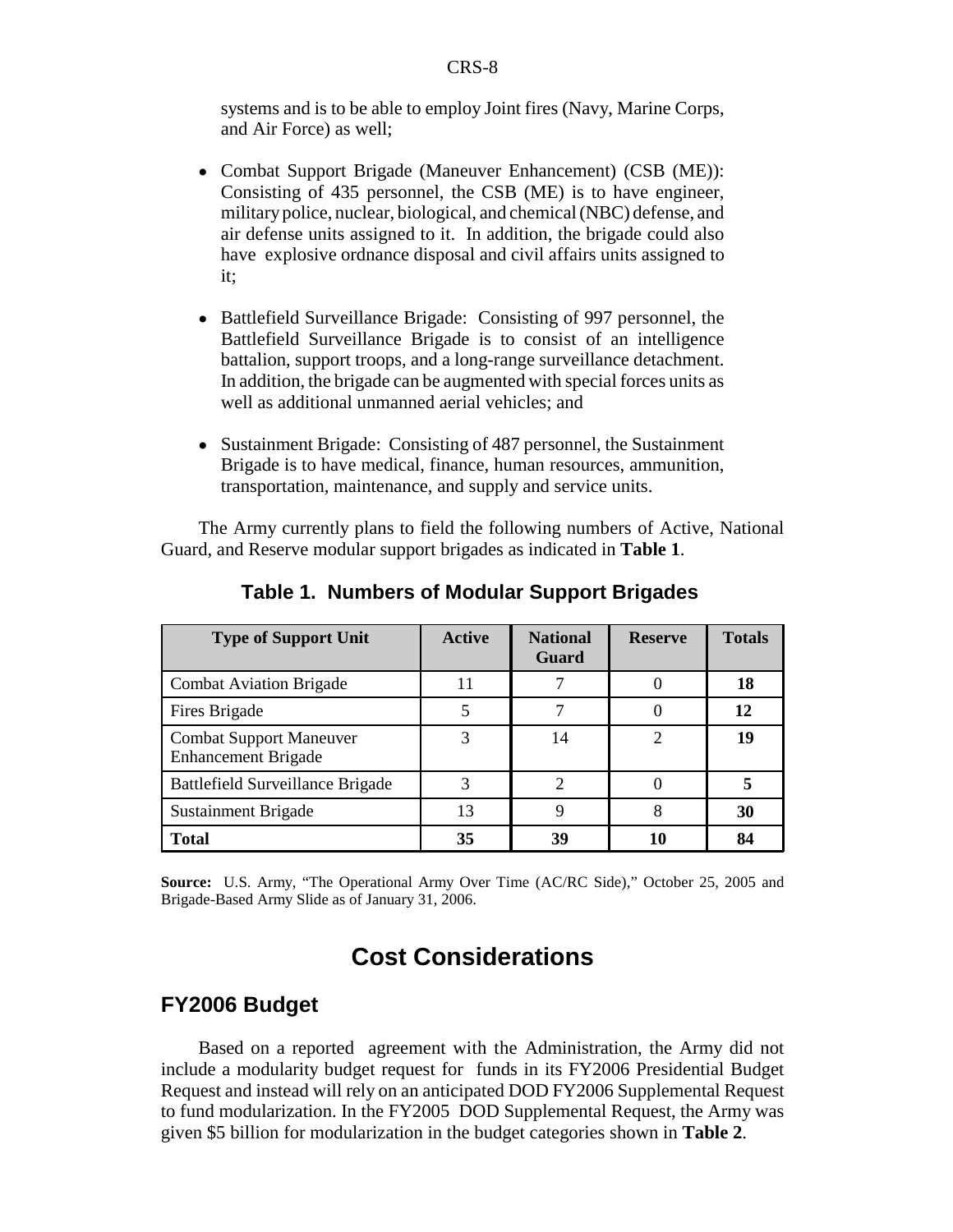systems and is to be able to employ Joint fires (Navy, Marine Corps, and Air Force) as well;

- ! Combat Support Brigade (Maneuver Enhancement) (CSB (ME)): Consisting of 435 personnel, the CSB (ME) is to have engineer, military police, nuclear, biological, and chemical (NBC) defense, and air defense units assigned to it. In addition, the brigade could also have explosive ordnance disposal and civil affairs units assigned to it;
- Battlefield Surveillance Brigade: Consisting of 997 personnel, the Battlefield Surveillance Brigade is to consist of an intelligence battalion, support troops, and a long-range surveillance detachment. In addition, the brigade can be augmented with special forces units as well as additional unmanned aerial vehicles; and
- Sustainment Brigade: Consisting of 487 personnel, the Sustainment Brigade is to have medical, finance, human resources, ammunition, transportation, maintenance, and supply and service units.

The Army currently plans to field the following numbers of Active, National Guard, and Reserve modular support brigades as indicated in **Table 1**.

| <b>Type of Support Unit</b>                                  | <b>Active</b> | <b>National</b><br><b>Guard</b> | <b>Reserve</b> | <b>Totals</b> |
|--------------------------------------------------------------|---------------|---------------------------------|----------------|---------------|
| <b>Combat Aviation Brigade</b>                               | 11            |                                 |                | 18            |
| Fires Brigade                                                |               |                                 |                | 12            |
| <b>Combat Support Maneuver</b><br><b>Enhancement Brigade</b> | 3             | 14                              | 2              | 19            |
| <b>Battlefield Surveillance Brigade</b>                      | 3             |                                 |                |               |
| Sustainment Brigade                                          | 13            | 9                               | 8              | 30            |
| <b>Total</b>                                                 | 35            | 39                              | 10             | 84            |

#### **Table 1. Numbers of Modular Support Brigades**

**Source:** U.S. Army, "The Operational Army Over Time (AC/RC Side)," October 25, 2005 and Brigade-Based Army Slide as of January 31, 2006.

# **Cost Considerations**

### **FY2006 Budget**

Based on a reported agreement with the Administration, the Army did not include a modularity budget request for funds in its FY2006 Presidential Budget Request and instead will rely on an anticipated DOD FY2006 Supplemental Request to fund modularization. In the FY2005 DOD Supplemental Request, the Army was given \$5 billion for modularization in the budget categories shown in **Table 2**.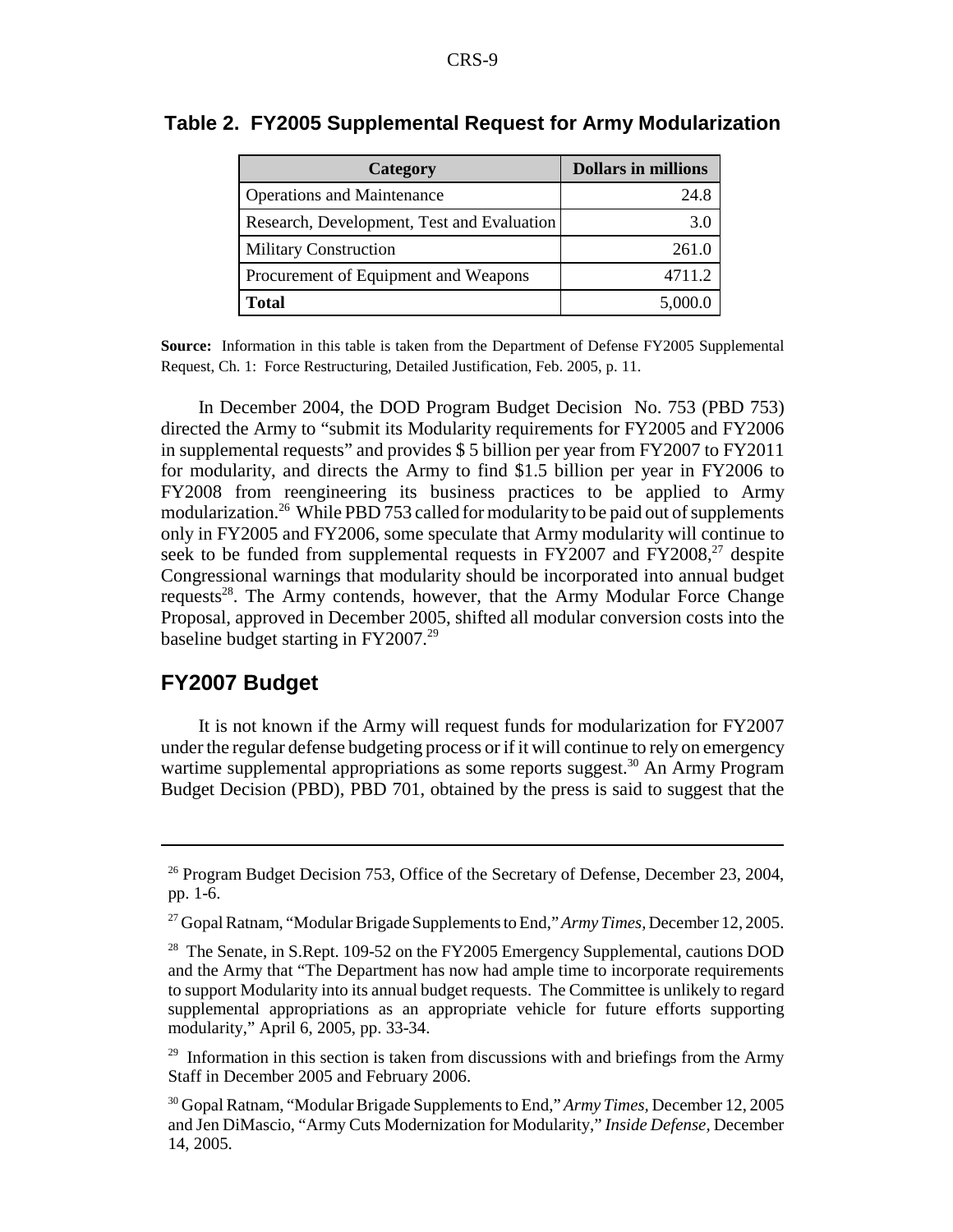| Category                                   | <b>Dollars in millions</b> |
|--------------------------------------------|----------------------------|
| <b>Operations and Maintenance</b>          | 24.8                       |
| Research, Development, Test and Evaluation |                            |
| <b>Military Construction</b>               | 261.0                      |
| Procurement of Equipment and Weapons       | 4711.2                     |
| Total                                      | 5,000.0                    |

#### **Table 2. FY2005 Supplemental Request for Army Modularization**

**Source:** Information in this table is taken from the Department of Defense FY2005 Supplemental Request, Ch. 1: Force Restructuring, Detailed Justification, Feb. 2005, p. 11.

In December 2004, the DOD Program Budget Decision No. 753 (PBD 753) directed the Army to "submit its Modularity requirements for FY2005 and FY2006 in supplemental requests" and provides \$ 5 billion per year from FY2007 to FY2011 for modularity, and directs the Army to find \$1.5 billion per year in FY2006 to FY2008 from reengineering its business practices to be applied to Army modularization.<sup>26</sup> While PBD 753 called for modularity to be paid out of supplements only in FY2005 and FY2006, some speculate that Army modularity will continue to seek to be funded from supplemental requests in  $FY2007$  and  $FY2008<sup>27</sup>$  despite Congressional warnings that modularity should be incorporated into annual budget requests<sup>28</sup>. The Army contends, however, that the Army Modular Force Change Proposal, approved in December 2005, shifted all modular conversion costs into the baseline budget starting in FY2007.<sup>29</sup>

## **FY2007 Budget**

It is not known if the Army will request funds for modularization for FY2007 under the regular defense budgeting process or if it will continue to rely on emergency wartime supplemental appropriations as some reports suggest.<sup>30</sup> An Army Program Budget Decision (PBD), PBD 701, obtained by the press is said to suggest that the

<sup>&</sup>lt;sup>26</sup> Program Budget Decision 753, Office of the Secretary of Defense, December 23, 2004, pp. 1-6.

<sup>27</sup> Gopal Ratnam, "Modular Brigade Supplements to End," *Army Times,* December 12, 2005.

<sup>&</sup>lt;sup>28</sup> The Senate, in S.Rept. 109-52 on the FY2005 Emergency Supplemental, cautions DOD and the Army that "The Department has now had ample time to incorporate requirements to support Modularity into its annual budget requests. The Committee is unlikely to regard supplemental appropriations as an appropriate vehicle for future efforts supporting modularity," April 6, 2005, pp. 33-34.

 $29$  Information in this section is taken from discussions with and briefings from the Army Staff in December 2005 and February 2006.

<sup>30</sup> Gopal Ratnam, "Modular Brigade Supplements to End," *Army Times,* December 12, 2005 and Jen DiMascio, "Army Cuts Modernization for Modularity," *Inside Defense,* December 14, 2005.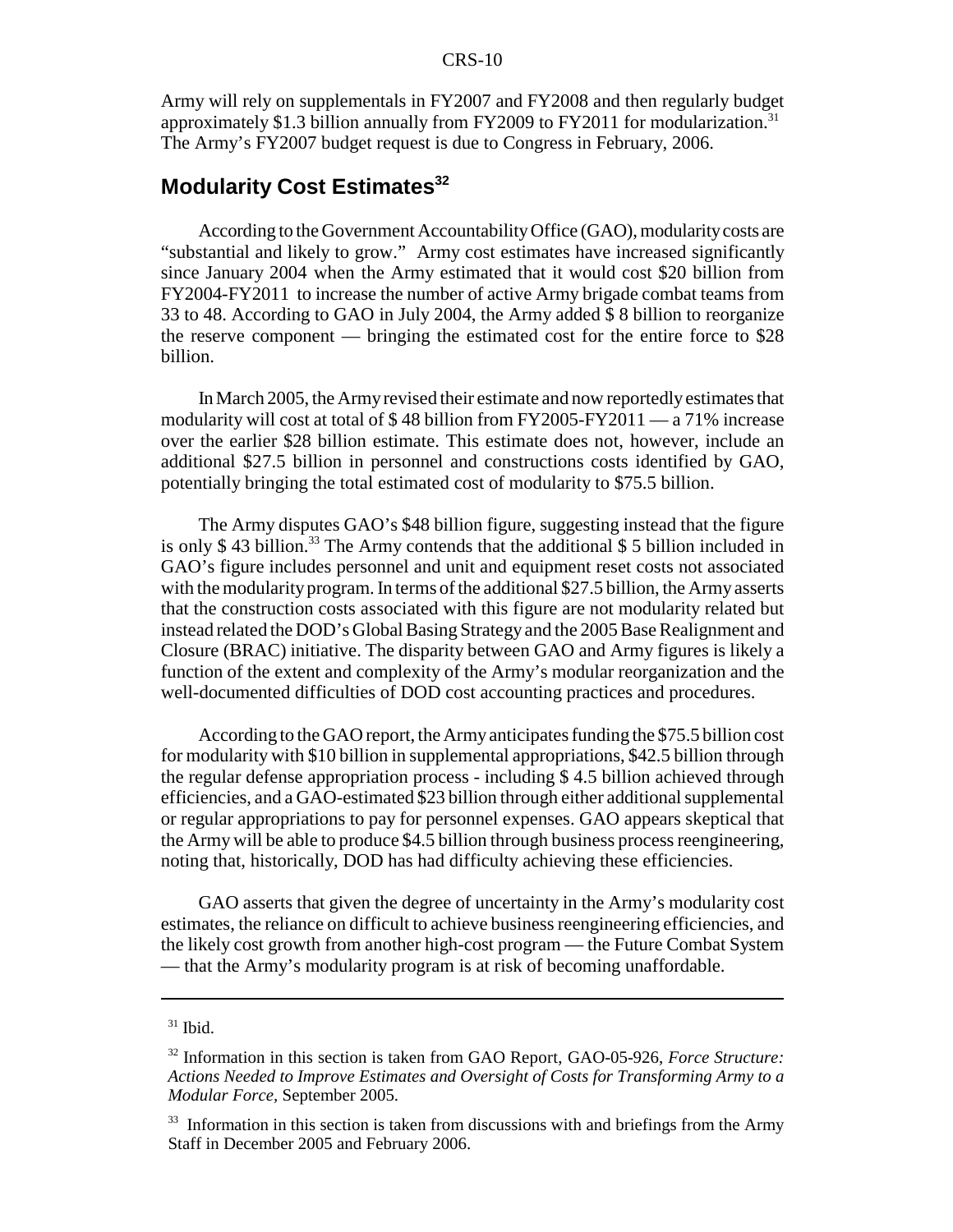Army will rely on supplementals in FY2007 and FY2008 and then regularly budget approximately \$1.3 billion annually from FY2009 to FY2011 for modularization.<sup>31</sup> The Army's FY2007 budget request is due to Congress in February, 2006.

# **Modularity Cost Estimates**<sup>32</sup>

According to the Government Accountability Office (GAO), modularity costs are "substantial and likely to grow." Army cost estimates have increased significantly since January 2004 when the Army estimated that it would cost \$20 billion from FY2004-FY2011 to increase the number of active Army brigade combat teams from 33 to 48. According to GAO in July 2004, the Army added \$ 8 billion to reorganize the reserve component — bringing the estimated cost for the entire force to \$28 billion.

In March 2005, the Army revised their estimate and now reportedly estimates that modularity will cost at total of \$ 48 billion from FY2005-FY2011 — a 71% increase over the earlier \$28 billion estimate. This estimate does not, however, include an additional \$27.5 billion in personnel and constructions costs identified by GAO, potentially bringing the total estimated cost of modularity to \$75.5 billion.

The Army disputes GAO's \$48 billion figure, suggesting instead that the figure is only  $$ 43$  billion.<sup>33</sup> The Army contends that the additional  $$ 5$  billion included in GAO's figure includes personnel and unit and equipment reset costs not associated with the modularity program. In terms of the additional \$27.5 billion, the Army asserts that the construction costs associated with this figure are not modularity related but instead related the DOD's Global Basing Strategy and the 2005 Base Realignment and Closure (BRAC) initiative. The disparity between GAO and Army figures is likely a function of the extent and complexity of the Army's modular reorganization and the well-documented difficulties of DOD cost accounting practices and procedures.

According to the GAO report, the Army anticipates funding the \$75.5 billion cost for modularity with \$10 billion in supplemental appropriations, \$42.5 billion through the regular defense appropriation process - including \$ 4.5 billion achieved through efficiencies, and a GAO-estimated \$23 billion through either additional supplemental or regular appropriations to pay for personnel expenses. GAO appears skeptical that the Army will be able to produce \$4.5 billion through business process reengineering, noting that, historically, DOD has had difficulty achieving these efficiencies.

GAO asserts that given the degree of uncertainty in the Army's modularity cost estimates, the reliance on difficult to achieve business reengineering efficiencies, and the likely cost growth from another high-cost program — the Future Combat System — that the Army's modularity program is at risk of becoming unaffordable.

 $31$  Ibid.

<sup>32</sup> Information in this section is taken from GAO Report, GAO-05-926, *Force Structure: Actions Needed to Improve Estimates and Oversight of Costs for Transforming Army to a Modular Force,* September 2005.

<sup>&</sup>lt;sup>33</sup> Information in this section is taken from discussions with and briefings from the Army Staff in December 2005 and February 2006.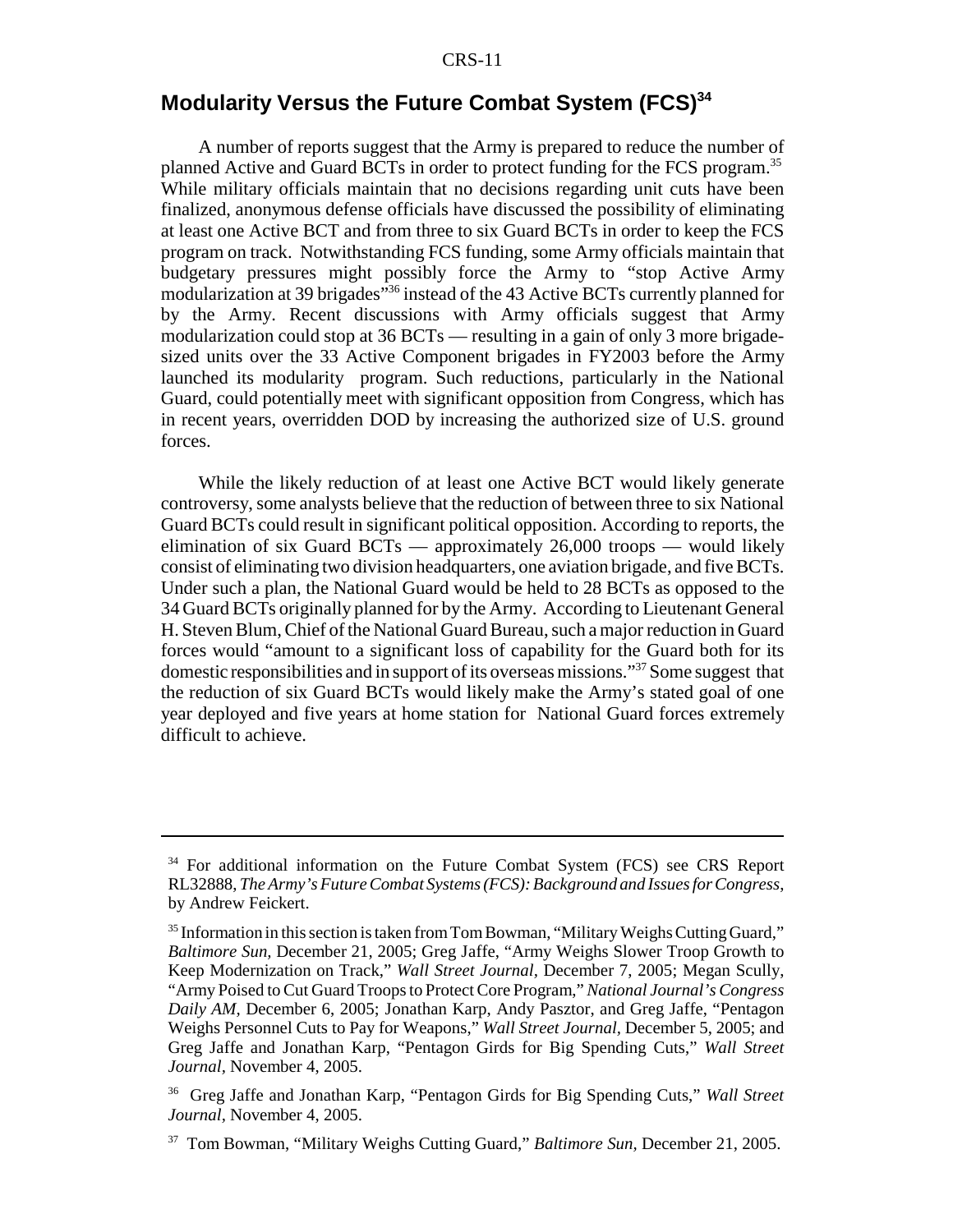# **Modularity Versus the Future Combat System (FCS)34**

A number of reports suggest that the Army is prepared to reduce the number of planned Active and Guard BCTs in order to protect funding for the FCS program.35 While military officials maintain that no decisions regarding unit cuts have been finalized, anonymous defense officials have discussed the possibility of eliminating at least one Active BCT and from three to six Guard BCTs in order to keep the FCS program on track. Notwithstanding FCS funding, some Army officials maintain that budgetary pressures might possibly force the Army to "stop Active Army modularization at 39 brigades"36 instead of the 43 Active BCTs currently planned for by the Army. Recent discussions with Army officials suggest that Army modularization could stop at 36 BCTs — resulting in a gain of only 3 more brigadesized units over the 33 Active Component brigades in FY2003 before the Army launched its modularity program. Such reductions, particularly in the National Guard, could potentially meet with significant opposition from Congress, which has in recent years, overridden DOD by increasing the authorized size of U.S. ground forces.

While the likely reduction of at least one Active BCT would likely generate controversy, some analysts believe that the reduction of between three to six National Guard BCTs could result in significant political opposition. According to reports, the elimination of six Guard BCTs — approximately 26,000 troops — would likely consist of eliminating two division headquarters, one aviation brigade, and five BCTs. Under such a plan, the National Guard would be held to 28 BCTs as opposed to the 34 Guard BCTs originally planned for by the Army. According to Lieutenant General H. Steven Blum, Chief of the National Guard Bureau, such a major reduction in Guard forces would "amount to a significant loss of capability for the Guard both for its domestic responsibilities and in support of its overseas missions."37 Some suggest that the reduction of six Guard BCTs would likely make the Army's stated goal of one year deployed and five years at home station for National Guard forces extremely difficult to achieve.

<sup>&</sup>lt;sup>34</sup> For additional information on the Future Combat System (FCS) see CRS Report RL32888, *The Army's Future Combat Systems (FCS): Background and Issues for Congress*, by Andrew Feickert.

<sup>&</sup>lt;sup>35</sup> Information in this section is taken from Tom Bowman, "Military Weighs Cutting Guard," *Baltimore Sun,* December 21, 2005; Greg Jaffe, "Army Weighs Slower Troop Growth to Keep Modernization on Track," *Wall Street Journal,* December 7, 2005; Megan Scully, "Army Poised to Cut Guard Troops to Protect Core Program," *National Journal's Congress Daily AM,* December 6, 2005; Jonathan Karp, Andy Pasztor, and Greg Jaffe, "Pentagon Weighs Personnel Cuts to Pay for Weapons," *Wall Street Journal,* December 5, 2005; and Greg Jaffe and Jonathan Karp, "Pentagon Girds for Big Spending Cuts," *Wall Street Journal,* November 4, 2005.

<sup>36</sup> Greg Jaffe and Jonathan Karp, "Pentagon Girds for Big Spending Cuts," *Wall Street Journal,* November 4, 2005.

<sup>37</sup> Tom Bowman, "Military Weighs Cutting Guard," *Baltimore Sun,* December 21, 2005.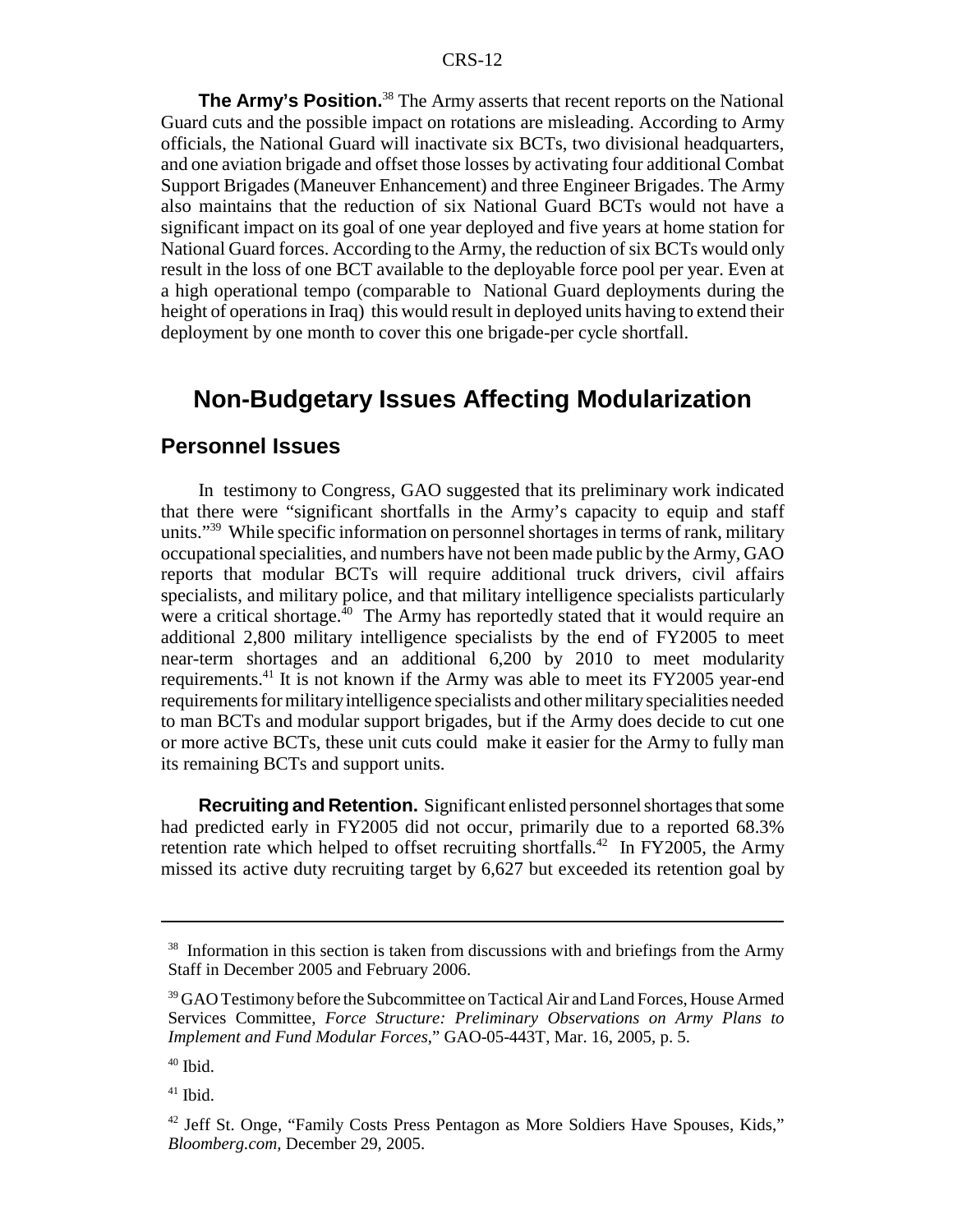**The Army's Position.**<sup>38</sup> The Army asserts that recent reports on the National Guard cuts and the possible impact on rotations are misleading. According to Army officials, the National Guard will inactivate six BCTs, two divisional headquarters, and one aviation brigade and offset those losses by activating four additional Combat Support Brigades (Maneuver Enhancement) and three Engineer Brigades. The Army also maintains that the reduction of six National Guard BCTs would not have a significant impact on its goal of one year deployed and five years at home station for National Guard forces. According to the Army, the reduction of six BCTs would only result in the loss of one BCT available to the deployable force pool per year. Even at a high operational tempo (comparable to National Guard deployments during the height of operations in Iraq) this would result in deployed units having to extend their deployment by one month to cover this one brigade-per cycle shortfall.

# **Non-Budgetary Issues Affecting Modularization**

# **Personnel Issues**

In testimony to Congress, GAO suggested that its preliminary work indicated that there were "significant shortfalls in the Army's capacity to equip and staff units."<sup>39</sup> While specific information on personnel shortages in terms of rank, military occupational specialities, and numbers have not been made public by the Army, GAO reports that modular BCTs will require additional truck drivers, civil affairs specialists, and military police, and that military intelligence specialists particularly were a critical shortage. $^{40}$  The Army has reportedly stated that it would require an additional 2,800 military intelligence specialists by the end of FY2005 to meet near-term shortages and an additional 6,200 by 2010 to meet modularity requirements.41 It is not known if the Army was able to meet its FY2005 year-end requirements for military intelligence specialists and other military specialities needed to man BCTs and modular support brigades, but if the Army does decide to cut one or more active BCTs, these unit cuts could make it easier for the Army to fully man its remaining BCTs and support units.

**Recruiting and Retention.** Significant enlisted personnel shortages that some had predicted early in FY2005 did not occur, primarily due to a reported 68.3% retention rate which helped to offset recruiting shortfalls.<sup>42</sup> In FY2005, the Army missed its active duty recruiting target by 6,627 but exceeded its retention goal by

 $41$  Ibid.

 $38$  Information in this section is taken from discussions with and briefings from the Army Staff in December 2005 and February 2006.

<sup>&</sup>lt;sup>39</sup> GAO Testimony before the Subcommittee on Tactical Air and Land Forces, House Armed Services Committee, *Force Structure: Preliminary Observations on Army Plans to Implement and Fund Modular Forces*," GAO-05-443T, Mar. 16, 2005, p. 5.

 $40$  Ibid.

<sup>&</sup>lt;sup>42</sup> Jeff St. Onge, "Family Costs Press Pentagon as More Soldiers Have Spouses, Kids," *Bloomberg.com,* December 29, 2005.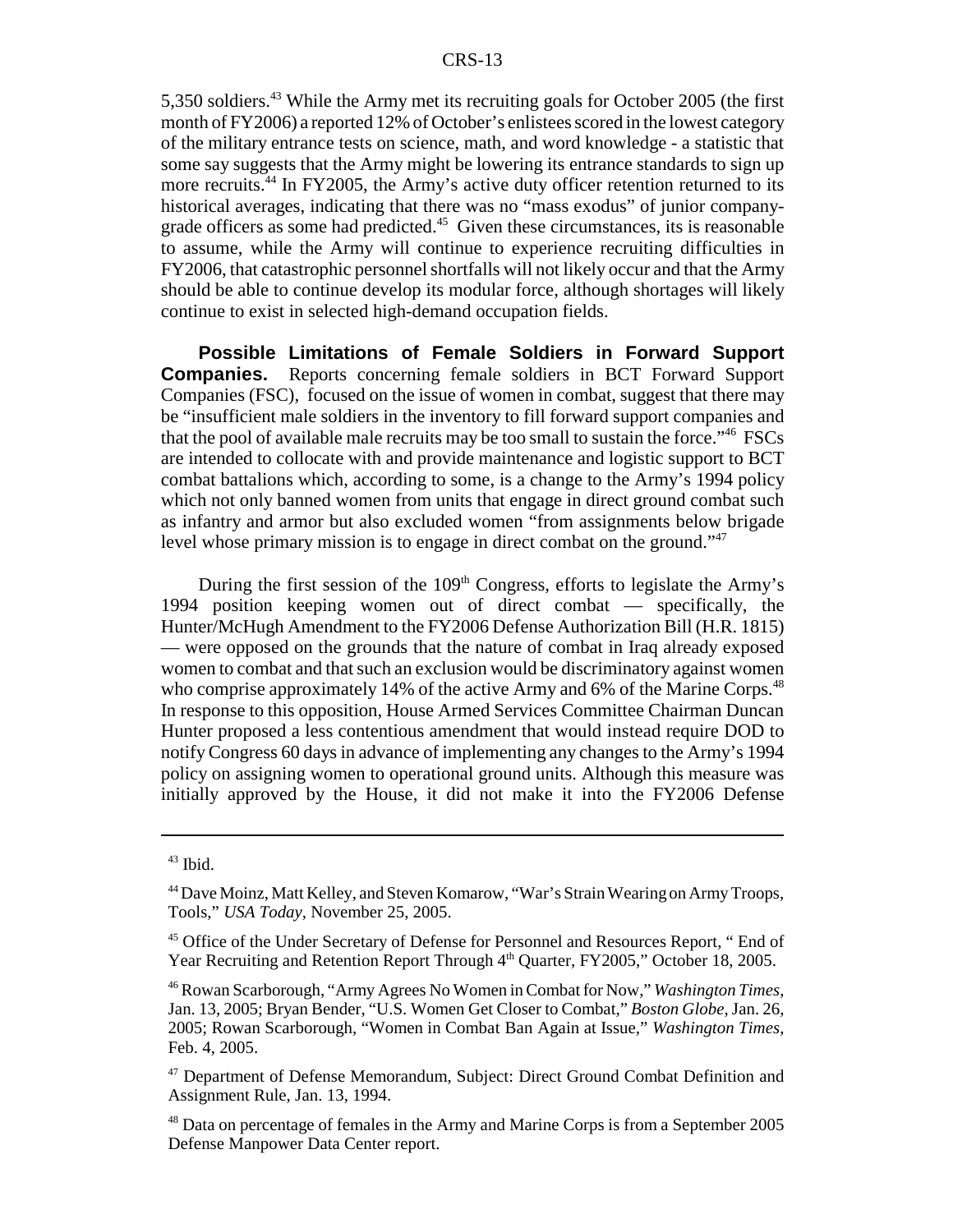5,350 soldiers.43 While the Army met its recruiting goals for October 2005 (the first month of FY2006) a reported 12% of October's enlistees scored in the lowest category of the military entrance tests on science, math, and word knowledge - a statistic that some say suggests that the Army might be lowering its entrance standards to sign up more recruits.<sup>44</sup> In FY2005, the Army's active duty officer retention returned to its historical averages, indicating that there was no "mass exodus" of junior companygrade officers as some had predicted. $45$  Given these circumstances, its is reasonable to assume, while the Army will continue to experience recruiting difficulties in FY2006, that catastrophic personnel shortfalls will not likely occur and that the Army should be able to continue develop its modular force, although shortages will likely continue to exist in selected high-demand occupation fields.

**Possible Limitations of Female Soldiers in Forward Support Companies.** Reports concerning female soldiers in BCT Forward Support Companies (FSC), focused on the issue of women in combat, suggest that there may be "insufficient male soldiers in the inventory to fill forward support companies and that the pool of available male recruits may be too small to sustain the force."46 FSCs are intended to collocate with and provide maintenance and logistic support to BCT combat battalions which, according to some, is a change to the Army's 1994 policy which not only banned women from units that engage in direct ground combat such as infantry and armor but also excluded women "from assignments below brigade level whose primary mission is to engage in direct combat on the ground."<sup>47</sup>

During the first session of the  $109<sup>th</sup>$  Congress, efforts to legislate the Army's 1994 position keeping women out of direct combat — specifically, the Hunter/McHugh Amendment to the FY2006 Defense Authorization Bill (H.R. 1815) — were opposed on the grounds that the nature of combat in Iraq already exposed women to combat and that such an exclusion would be discriminatory against women who comprise approximately 14% of the active Army and 6% of the Marine Corps.<sup>48</sup> In response to this opposition, House Armed Services Committee Chairman Duncan Hunter proposed a less contentious amendment that would instead require DOD to notify Congress 60 days in advance of implementing any changes to the Army's 1994 policy on assigning women to operational ground units. Although this measure was initially approved by the House, it did not make it into the FY2006 Defense

<sup>43</sup> Ibid.

<sup>44</sup> Dave Moinz, Matt Kelley, and Steven Komarow, "War's Strain Wearing on Army Troops, Tools," *USA Today,* November 25, 2005.

<sup>&</sup>lt;sup>45</sup> Office of the Under Secretary of Defense for Personnel and Resources Report, "End of Year Recruiting and Retention Report Through  $4<sup>th</sup>$  Quarter, FY2005," October 18, 2005.

<sup>46</sup> Rowan Scarborough, "Army Agrees No Women in Combat for Now," *Washington Times*, Jan. 13, 2005; Bryan Bender, "U.S. Women Get Closer to Combat," *Boston Globe*, Jan. 26, 2005; Rowan Scarborough, "Women in Combat Ban Again at Issue," *Washington Times*, Feb. 4, 2005.

<sup>&</sup>lt;sup>47</sup> Department of Defense Memorandum, Subject: Direct Ground Combat Definition and Assignment Rule, Jan. 13, 1994.

<sup>&</sup>lt;sup>48</sup> Data on percentage of females in the Army and Marine Corps is from a September 2005 Defense Manpower Data Center report.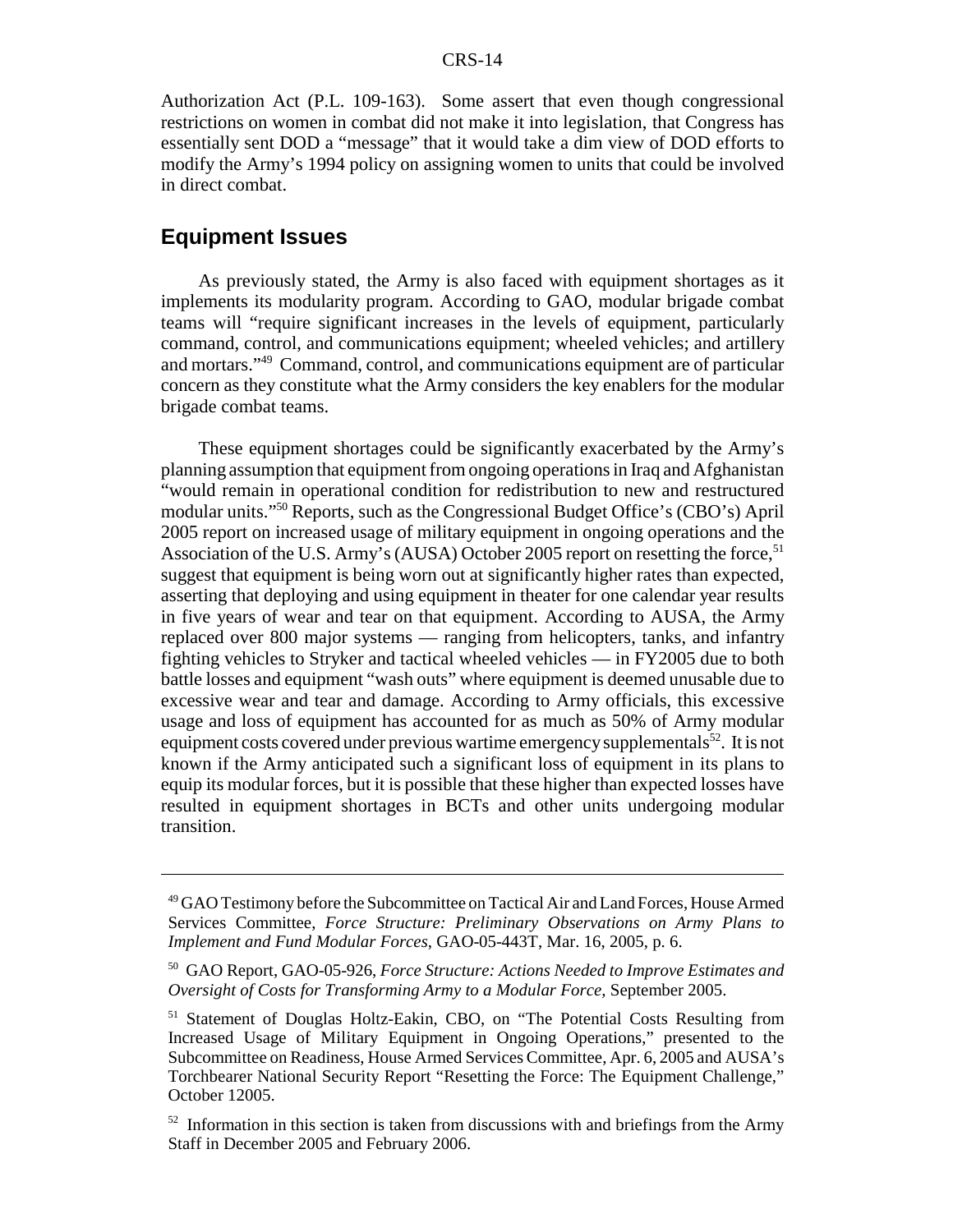Authorization Act (P.L. 109-163). Some assert that even though congressional restrictions on women in combat did not make it into legislation, that Congress has essentially sent DOD a "message" that it would take a dim view of DOD efforts to modify the Army's 1994 policy on assigning women to units that could be involved in direct combat.

#### **Equipment Issues**

As previously stated, the Army is also faced with equipment shortages as it implements its modularity program. According to GAO, modular brigade combat teams will "require significant increases in the levels of equipment, particularly command, control, and communications equipment; wheeled vehicles; and artillery and mortars."49 Command, control, and communications equipment are of particular concern as they constitute what the Army considers the key enablers for the modular brigade combat teams.

These equipment shortages could be significantly exacerbated by the Army's planning assumption that equipment from ongoing operations in Iraq and Afghanistan "would remain in operational condition for redistribution to new and restructured modular units."50 Reports, such as the Congressional Budget Office's (CBO's) April 2005 report on increased usage of military equipment in ongoing operations and the Association of the U.S. Army's (AUSA) October 2005 report on resetting the force,  $51$ suggest that equipment is being worn out at significantly higher rates than expected, asserting that deploying and using equipment in theater for one calendar year results in five years of wear and tear on that equipment. According to AUSA, the Army replaced over 800 major systems — ranging from helicopters, tanks, and infantry fighting vehicles to Stryker and tactical wheeled vehicles — in FY2005 due to both battle losses and equipment "wash outs" where equipment is deemed unusable due to excessive wear and tear and damage. According to Army officials, this excessive usage and loss of equipment has accounted for as much as 50% of Army modular equipment costs covered under previous wartime emergency supplementals<sup>52</sup>. It is not known if the Army anticipated such a significant loss of equipment in its plans to equip its modular forces, but it is possible that these higher than expected losses have resulted in equipment shortages in BCTs and other units undergoing modular transition.

<sup>49</sup> GAO Testimony before the Subcommittee on Tactical Air and Land Forces, House Armed Services Committee, *Force Structure: Preliminary Observations on Army Plans to Implement and Fund Modular Forces*, GAO-05-443T, Mar. 16, 2005, p. 6.

<sup>50</sup> GAO Report, GAO-05-926, *Force Structure: Actions Needed to Improve Estimates and Oversight of Costs for Transforming Army to a Modular Force,* September 2005.

<sup>&</sup>lt;sup>51</sup> Statement of Douglas Holtz-Eakin, CBO, on "The Potential Costs Resulting from Increased Usage of Military Equipment in Ongoing Operations," presented to the Subcommittee on Readiness, House Armed Services Committee, Apr. 6, 2005 and AUSA's Torchbearer National Security Report "Resetting the Force: The Equipment Challenge," October 12005.

 $52$  Information in this section is taken from discussions with and briefings from the Army Staff in December 2005 and February 2006.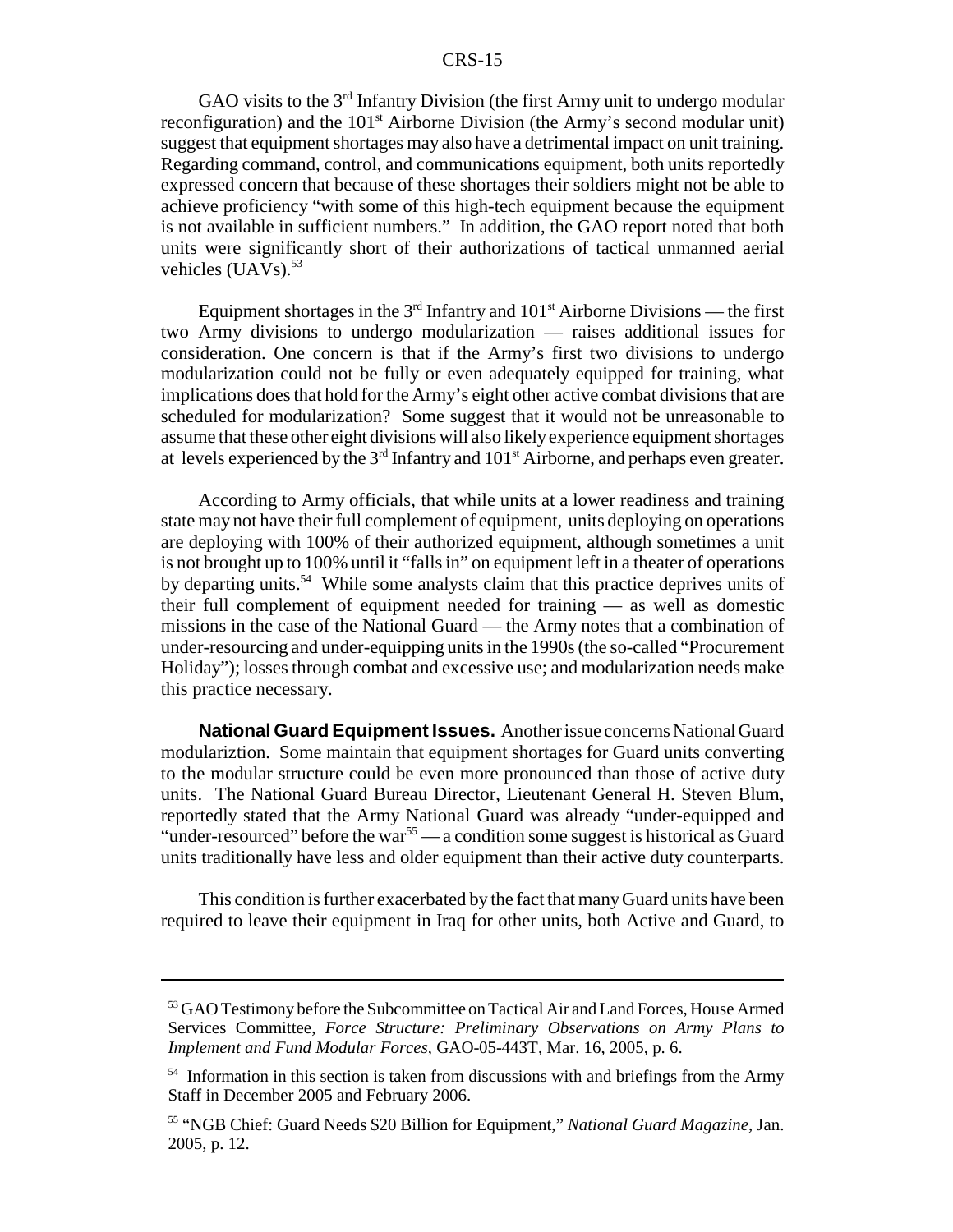GAO visits to the  $3<sup>rd</sup>$  Infantry Division (the first Army unit to undergo modular reconfiguration) and the  $101<sup>st</sup>$  Airborne Division (the Army's second modular unit) suggest that equipment shortages may also have a detrimental impact on unit training. Regarding command, control, and communications equipment, both units reportedly expressed concern that because of these shortages their soldiers might not be able to achieve proficiency "with some of this high-tech equipment because the equipment is not available in sufficient numbers." In addition, the GAO report noted that both units were significantly short of their authorizations of tactical unmanned aerial vehicles  $(UAVs).$ <sup>53</sup>

Equipment shortages in the  $3<sup>rd</sup>$  Infantry and  $101<sup>st</sup>$  Airborne Divisions — the first two Army divisions to undergo modularization — raises additional issues for consideration. One concern is that if the Army's first two divisions to undergo modularization could not be fully or even adequately equipped for training, what implications does that hold for the Army's eight other active combat divisions that are scheduled for modularization? Some suggest that it would not be unreasonable to assume that these other eight divisions will also likely experience equipment shortages at levels experienced by the  $3<sup>rd</sup>$  Infantry and  $101<sup>st</sup>$  Airborne, and perhaps even greater.

According to Army officials, that while units at a lower readiness and training state may not have their full complement of equipment, units deploying on operations are deploying with 100% of their authorized equipment, although sometimes a unit is not brought up to 100% until it "falls in" on equipment left in a theater of operations by departing units.<sup>54</sup> While some analysts claim that this practice deprives units of their full complement of equipment needed for training — as well as domestic missions in the case of the National Guard — the Army notes that a combination of under-resourcing and under-equipping units in the 1990s (the so-called "Procurement Holiday"); losses through combat and excessive use; and modularization needs make this practice necessary.

**National Guard Equipment Issues.** Another issue concerns National Guard modulariztion. Some maintain that equipment shortages for Guard units converting to the modular structure could be even more pronounced than those of active duty units. The National Guard Bureau Director, Lieutenant General H. Steven Blum, reportedly stated that the Army National Guard was already "under-equipped and "under-resourced" before the war<sup>55</sup> — a condition some suggest is historical as Guard units traditionally have less and older equipment than their active duty counterparts.

This condition is further exacerbated by the fact that many Guard units have been required to leave their equipment in Iraq for other units, both Active and Guard, to

<sup>&</sup>lt;sup>53</sup> GAO Testimony before the Subcommittee on Tactical Air and Land Forces, House Armed Services Committee, *Force Structure: Preliminary Observations on Army Plans to Implement and Fund Modular Forces*, GAO-05-443T, Mar. 16, 2005, p. 6.

<sup>&</sup>lt;sup>54</sup> Information in this section is taken from discussions with and briefings from the Army Staff in December 2005 and February 2006.

<sup>55 &</sup>quot;NGB Chief: Guard Needs \$20 Billion for Equipment," *National Guard Magazine*, Jan. 2005, p. 12.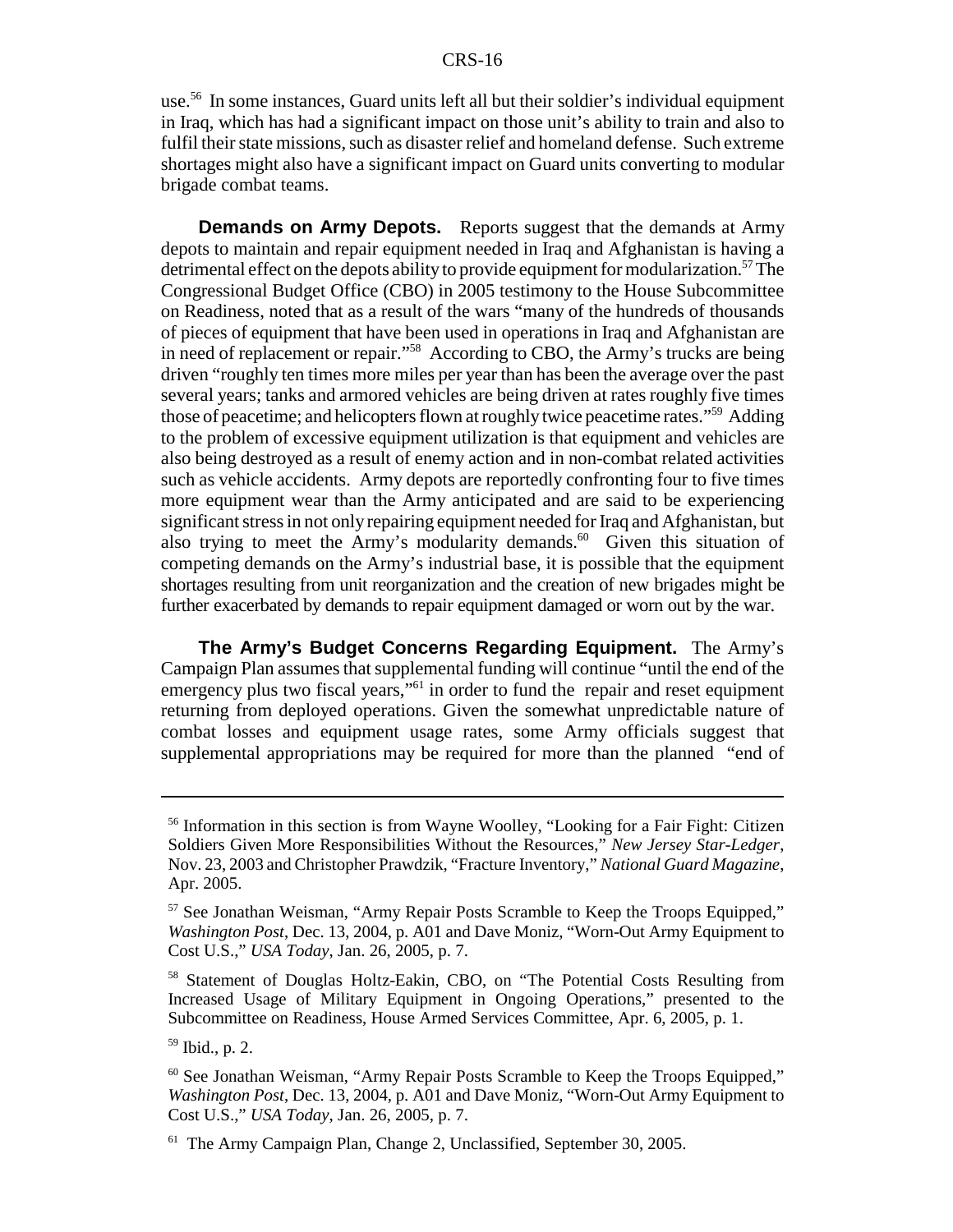use.56 In some instances, Guard units left all but their soldier's individual equipment in Iraq, which has had a significant impact on those unit's ability to train and also to fulfil their state missions, such as disaster relief and homeland defense. Such extreme shortages might also have a significant impact on Guard units converting to modular brigade combat teams.

**Demands on Army Depots.** Reports suggest that the demands at Army depots to maintain and repair equipment needed in Iraq and Afghanistan is having a detrimental effect on the depots ability to provide equipment for modularization.<sup>57</sup> The Congressional Budget Office (CBO) in 2005 testimony to the House Subcommittee on Readiness, noted that as a result of the wars "many of the hundreds of thousands of pieces of equipment that have been used in operations in Iraq and Afghanistan are in need of replacement or repair."58 According to CBO, the Army's trucks are being driven "roughly ten times more miles per year than has been the average over the past several years; tanks and armored vehicles are being driven at rates roughly five times those of peacetime; and helicopters flown at roughly twice peacetime rates."59 Adding to the problem of excessive equipment utilization is that equipment and vehicles are also being destroyed as a result of enemy action and in non-combat related activities such as vehicle accidents. Army depots are reportedly confronting four to five times more equipment wear than the Army anticipated and are said to be experiencing significant stress in not only repairing equipment needed for Iraq and Afghanistan, but also trying to meet the Army's modularity demands.<sup>60</sup> Given this situation of competing demands on the Army's industrial base, it is possible that the equipment shortages resulting from unit reorganization and the creation of new brigades might be further exacerbated by demands to repair equipment damaged or worn out by the war.

**The Army's Budget Concerns Regarding Equipment.** The Army's Campaign Plan assumes that supplemental funding will continue "until the end of the emergency plus two fiscal years,"<sup>61</sup> in order to fund the repair and reset equipment returning from deployed operations. Given the somewhat unpredictable nature of combat losses and equipment usage rates, some Army officials suggest that supplemental appropriations may be required for more than the planned "end of

<sup>&</sup>lt;sup>56</sup> Information in this section is from Wayne Woolley, "Looking for a Fair Fight: Citizen Soldiers Given More Responsibilities Without the Resources," *New Jersey Star-Ledger*, Nov. 23, 2003 and Christopher Prawdzik, "Fracture Inventory," *National Guard Magazine*, Apr. 2005.

<sup>57</sup> See Jonathan Weisman, "Army Repair Posts Scramble to Keep the Troops Equipped," *Washington Post*, Dec. 13, 2004, p. A01 and Dave Moniz, "Worn-Out Army Equipment to Cost U.S.," *USA Today*, Jan. 26, 2005, p. 7.

<sup>58</sup> Statement of Douglas Holtz-Eakin, CBO, on "The Potential Costs Resulting from Increased Usage of Military Equipment in Ongoing Operations," presented to the Subcommittee on Readiness, House Armed Services Committee, Apr. 6, 2005, p. 1.

<sup>59</sup> Ibid., p. 2.

<sup>60</sup> See Jonathan Weisman, "Army Repair Posts Scramble to Keep the Troops Equipped," *Washington Post*, Dec. 13, 2004, p. A01 and Dave Moniz, "Worn-Out Army Equipment to Cost U.S.," *USA Today*, Jan. 26, 2005, p. 7.

<sup>&</sup>lt;sup>61</sup> The Army Campaign Plan, Change 2, Unclassified, September 30, 2005.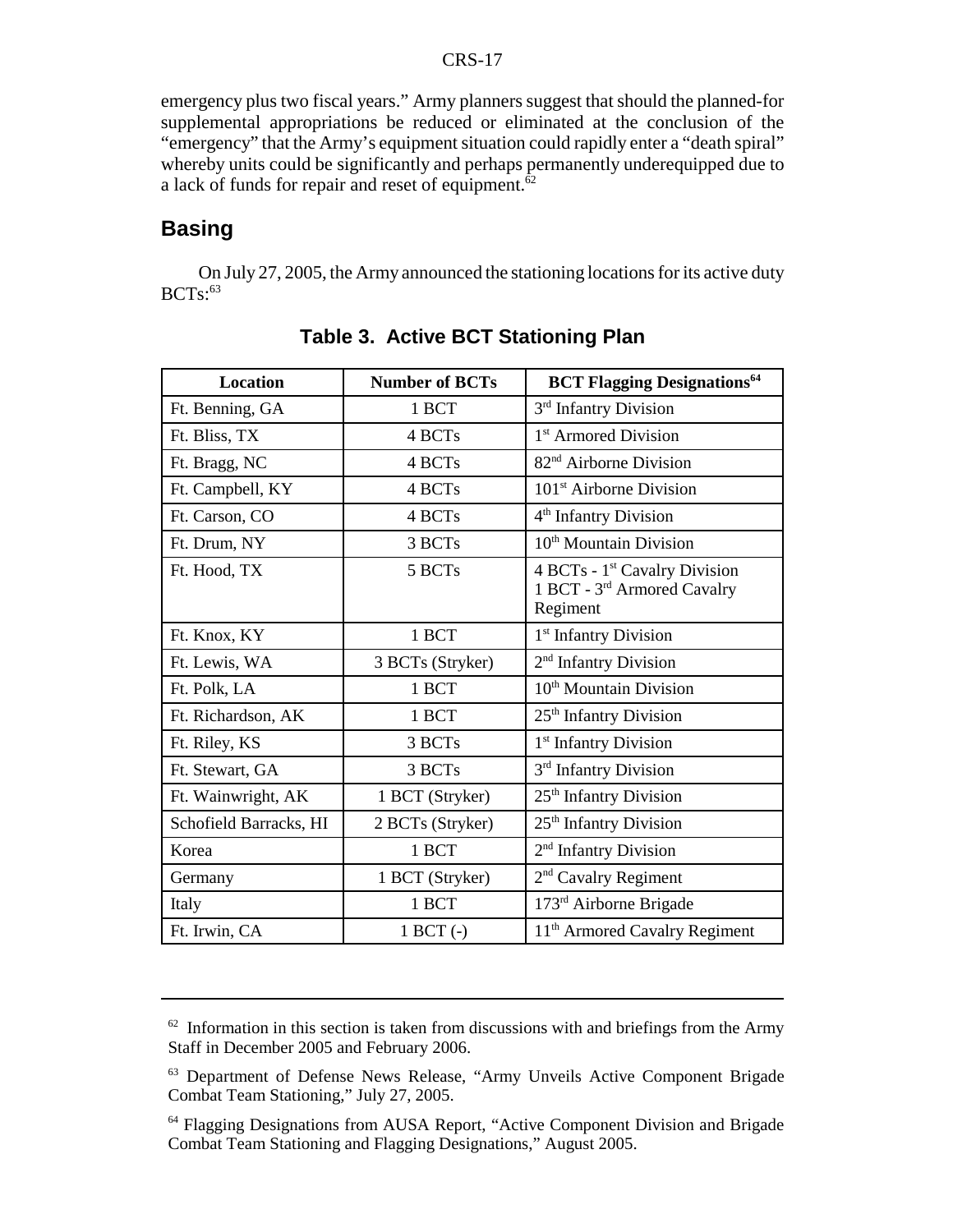emergency plus two fiscal years." Army planners suggest that should the planned-for supplemental appropriations be reduced or eliminated at the conclusion of the "emergency" that the Army's equipment situation could rapidly enter a "death spiral" whereby units could be significantly and perhaps permanently underequipped due to a lack of funds for repair and reset of equipment. $\frac{62}{ }$ 

# **Basing**

On July 27, 2005, the Army announced the stationing locations for its active duty  $BCTs$ :<sup>63</sup>

| <b>Location</b>        | <b>Number of BCTs</b> | <b>BCT Flagging Designations</b> <sup>64</sup>                                                   |
|------------------------|-----------------------|--------------------------------------------------------------------------------------------------|
| Ft. Benning, GA        | 1 BCT                 | 3 <sup>rd</sup> Infantry Division                                                                |
| Ft. Bliss, TX          | 4 BCTs                | 1 <sup>st</sup> Armored Division                                                                 |
| Ft. Bragg, NC          | 4 BCTs                | 82 <sup>nd</sup> Airborne Division                                                               |
| Ft. Campbell, KY       | 4 BCTs                | $101st$ Airborne Division                                                                        |
| Ft. Carson, CO         | 4 BCTs                | 4 <sup>th</sup> Infantry Division                                                                |
| Ft. Drum, NY           | 3 BCTs                | 10 <sup>th</sup> Mountain Division                                                               |
| Ft. Hood, TX           | 5 BCTs                | 4 BCTs - 1 <sup>st</sup> Cavalry Division<br>1 BCT - 3 <sup>rd</sup> Armored Cavalry<br>Regiment |
| Ft. Knox, KY           | 1 BCT                 | 1 <sup>st</sup> Infantry Division                                                                |
| Ft. Lewis, WA          | 3 BCTs (Stryker)      | $2nd$ Infantry Division                                                                          |
| Ft. Polk, LA           | 1 BCT                 | 10 <sup>th</sup> Mountain Division                                                               |
| Ft. Richardson, AK     | 1 BCT                 | 25 <sup>th</sup> Infantry Division                                                               |
| Ft. Riley, KS          | 3 BCTs                | 1 <sup>st</sup> Infantry Division                                                                |
| Ft. Stewart, GA        | 3 BCTs                | 3 <sup>rd</sup> Infantry Division                                                                |
| Ft. Wainwright, AK     | 1 BCT (Stryker)       | 25 <sup>th</sup> Infantry Division                                                               |
| Schofield Barracks, HI | 2 BCTs (Stryker)      | 25 <sup>th</sup> Infantry Division                                                               |
| Korea                  | 1 BCT                 | 2 <sup>nd</sup> Infantry Division                                                                |
| Germany                | 1 BCT (Stryker)       | $2nd$ Cavalry Regiment                                                                           |
| Italy                  | 1 BCT                 | $173rd$ Airborne Brigade                                                                         |
| Ft. Irwin, CA          | $1$ BCT $(-)$         | 11 <sup>th</sup> Armored Cavalry Regiment                                                        |

**Table 3. Active BCT Stationing Plan**

 $62$  Information in this section is taken from discussions with and briefings from the Army Staff in December 2005 and February 2006.

<sup>63</sup> Department of Defense News Release, "Army Unveils Active Component Brigade Combat Team Stationing," July 27, 2005.

<sup>&</sup>lt;sup>64</sup> Flagging Designations from AUSA Report, "Active Component Division and Brigade Combat Team Stationing and Flagging Designations," August 2005.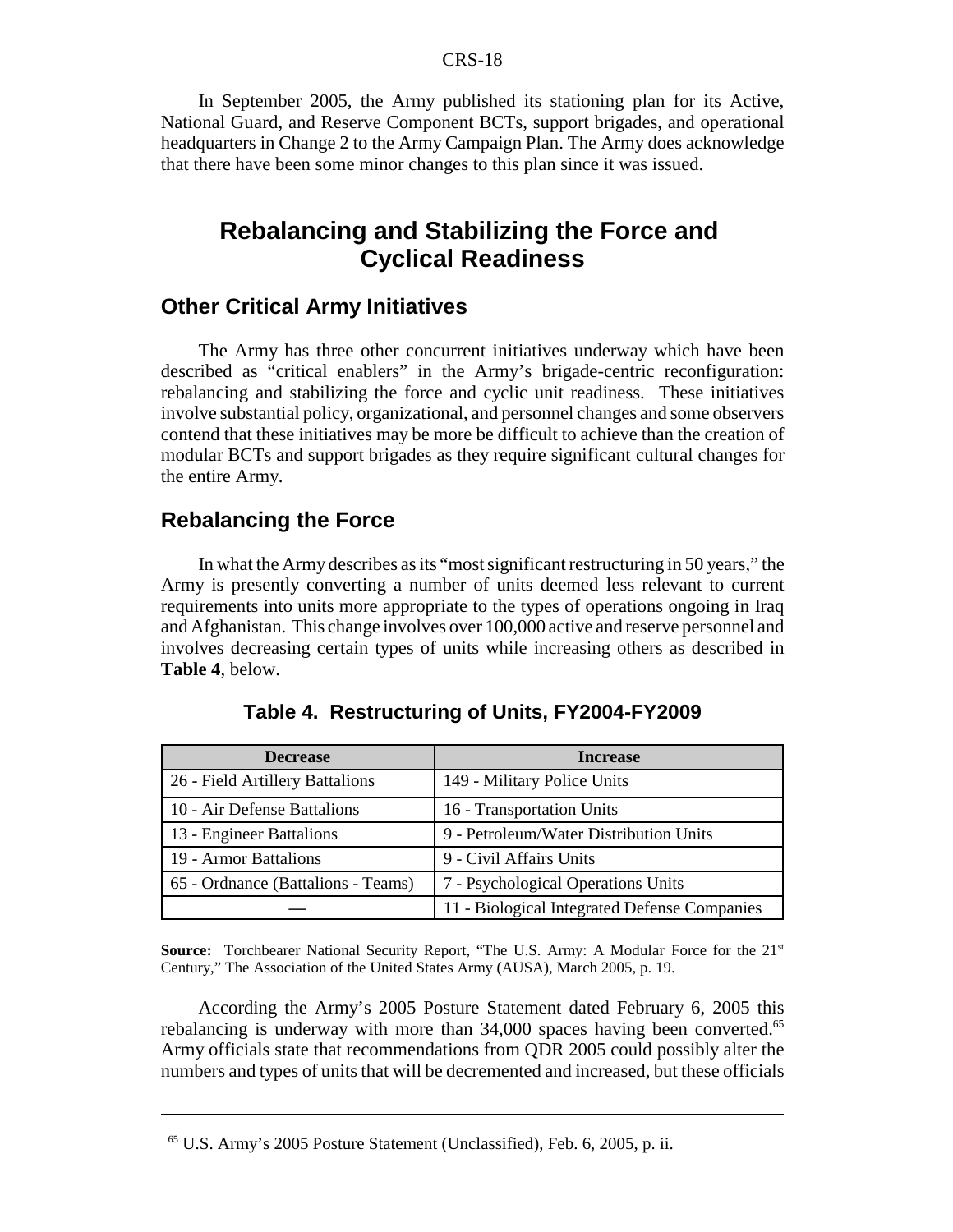In September 2005, the Army published its stationing plan for its Active, National Guard, and Reserve Component BCTs, support brigades, and operational headquarters in Change 2 to the Army Campaign Plan. The Army does acknowledge that there have been some minor changes to this plan since it was issued.

# **Rebalancing and Stabilizing the Force and Cyclical Readiness**

#### **Other Critical Army Initiatives**

The Army has three other concurrent initiatives underway which have been described as "critical enablers" in the Army's brigade-centric reconfiguration: rebalancing and stabilizing the force and cyclic unit readiness. These initiatives involve substantial policy, organizational, and personnel changes and some observers contend that these initiatives may be more be difficult to achieve than the creation of modular BCTs and support brigades as they require significant cultural changes for the entire Army.

### **Rebalancing the Force**

In what the Army describes as its "most significant restructuring in 50 years," the Army is presently converting a number of units deemed less relevant to current requirements into units more appropriate to the types of operations ongoing in Iraq and Afghanistan. This change involves over 100,000 active and reserve personnel and involves decreasing certain types of units while increasing others as described in **Table 4**, below.

| <b>Decrease</b>                    | <b>Increase</b>                              |
|------------------------------------|----------------------------------------------|
| 26 - Field Artillery Battalions    | 149 - Military Police Units                  |
| 10 - Air Defense Battalions        | 16 - Transportation Units                    |
| 13 - Engineer Battalions           | 9 - Petroleum/Water Distribution Units       |
| 19 - Armor Battalions              | 9 - Civil Affairs Units                      |
| 65 - Ordnance (Battalions - Teams) | 7 - Psychological Operations Units           |
|                                    | 11 - Biological Integrated Defense Companies |

**Table 4. Restructuring of Units, FY2004-FY2009**

Source: Torchbearer National Security Report, "The U.S. Army: A Modular Force for the 21<sup>st</sup> Century," The Association of the United States Army (AUSA), March 2005, p. 19.

According the Army's 2005 Posture Statement dated February 6, 2005 this rebalancing is underway with more than 34,000 spaces having been converted.<sup>65</sup> Army officials state that recommendations from QDR 2005 could possibly alter the numbers and types of units that will be decremented and increased, but these officials

<sup>65</sup> U.S. Army's 2005 Posture Statement (Unclassified), Feb. 6, 2005, p. ii.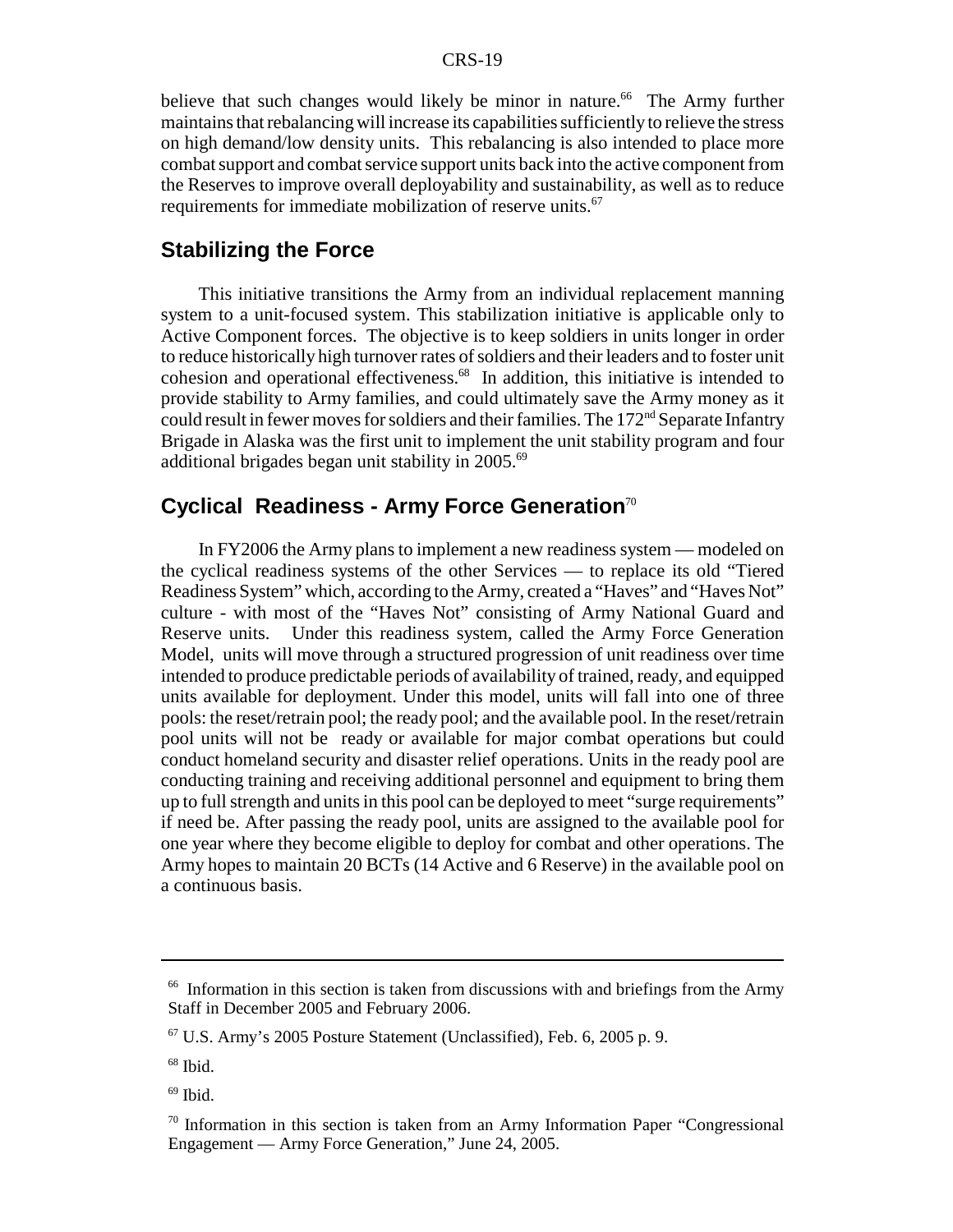believe that such changes would likely be minor in nature.<sup>66</sup> The Army further maintains that rebalancing will increase its capabilities sufficiently to relieve the stress on high demand/low density units. This rebalancing is also intended to place more combat support and combat service support units back into the active component from the Reserves to improve overall deployability and sustainability, as well as to reduce requirements for immediate mobilization of reserve units.<sup>67</sup>

## **Stabilizing the Force**

This initiative transitions the Army from an individual replacement manning system to a unit-focused system. This stabilization initiative is applicable only to Active Component forces. The objective is to keep soldiers in units longer in order to reduce historically high turnover rates of soldiers and their leaders and to foster unit cohesion and operational effectiveness.68 In addition, this initiative is intended to provide stability to Army families, and could ultimately save the Army money as it could result in fewer moves for soldiers and their families. The 172<sup>nd</sup> Separate Infantry Brigade in Alaska was the first unit to implement the unit stability program and four additional brigades began unit stability in 2005.69

# **Cyclical Readiness - Army Force Generation**<sup>70</sup>

In FY2006 the Army plans to implement a new readiness system — modeled on the cyclical readiness systems of the other Services — to replace its old "Tiered Readiness System" which, according to the Army, created a "Haves" and "Haves Not" culture - with most of the "Haves Not" consisting of Army National Guard and Reserve units. Under this readiness system, called the Army Force Generation Model, units will move through a structured progression of unit readiness over time intended to produce predictable periods of availability of trained, ready, and equipped units available for deployment. Under this model, units will fall into one of three pools: the reset/retrain pool; the ready pool; and the available pool. In the reset/retrain pool units will not be ready or available for major combat operations but could conduct homeland security and disaster relief operations. Units in the ready pool are conducting training and receiving additional personnel and equipment to bring them up to full strength and units in this pool can be deployed to meet "surge requirements" if need be. After passing the ready pool, units are assigned to the available pool for one year where they become eligible to deploy for combat and other operations. The Army hopes to maintain 20 BCTs (14 Active and 6 Reserve) in the available pool on a continuous basis.

<sup>&</sup>lt;sup>66</sup> Information in this section is taken from discussions with and briefings from the Army Staff in December 2005 and February 2006.

 $67$  U.S. Army's 2005 Posture Statement (Unclassified), Feb. 6, 2005 p. 9.

<sup>68</sup> Ibid.

 $69$  Ibid.

 $70$  Information in this section is taken from an Army Information Paper "Congressional" Engagement — Army Force Generation," June 24, 2005.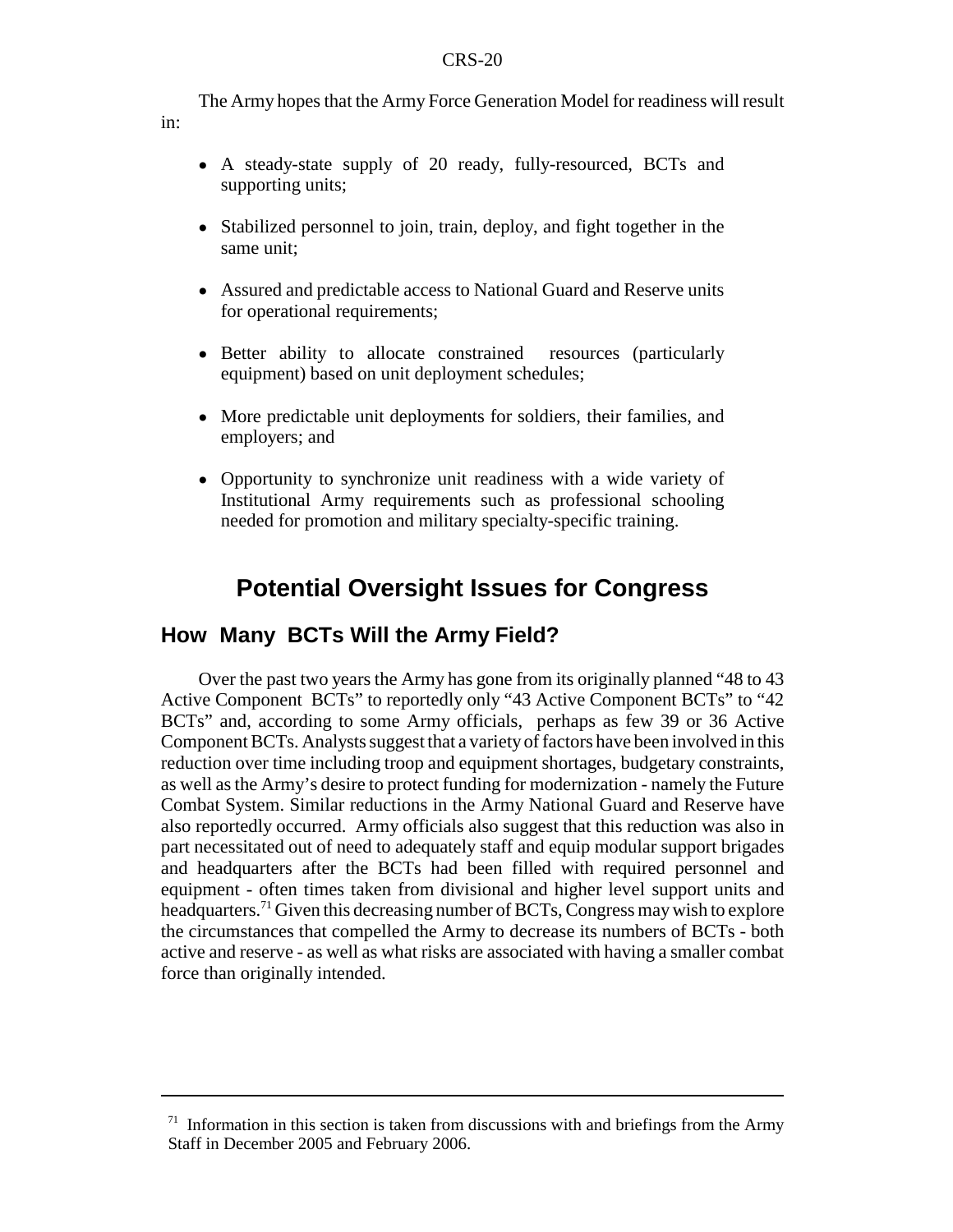The Army hopes that the Army Force Generation Model for readiness will result

- A steady-state supply of 20 ready, fully-resourced, BCTs and supporting units;
- Stabilized personnel to join, train, deploy, and fight together in the same unit;
- ! Assured and predictable access to National Guard and Reserve units for operational requirements;
- Better ability to allocate constrained resources (particularly equipment) based on unit deployment schedules;
- ! More predictable unit deployments for soldiers, their families, and employers; and
- ! Opportunity to synchronize unit readiness with a wide variety of Institutional Army requirements such as professional schooling needed for promotion and military specialty-specific training.

# **Potential Oversight Issues for Congress**

# **How Many BCTs Will the Army Field?**

in:

Over the past two years the Army has gone from its originally planned "48 to 43 Active Component BCTs" to reportedly only "43 Active Component BCTs" to "42 BCTs" and, according to some Army officials, perhaps as few 39 or 36 Active Component BCTs. Analysts suggest that a variety of factors have been involved in this reduction over time including troop and equipment shortages, budgetary constraints, as well as the Army's desire to protect funding for modernization - namely the Future Combat System. Similar reductions in the Army National Guard and Reserve have also reportedly occurred. Army officials also suggest that this reduction was also in part necessitated out of need to adequately staff and equip modular support brigades and headquarters after the BCTs had been filled with required personnel and equipment - often times taken from divisional and higher level support units and headquarters.71 Given this decreasing number of BCTs, Congress may wish to explore the circumstances that compelled the Army to decrease its numbers of BCTs - both active and reserve - as well as what risks are associated with having a smaller combat force than originally intended.

 $71$  Information in this section is taken from discussions with and briefings from the Army Staff in December 2005 and February 2006.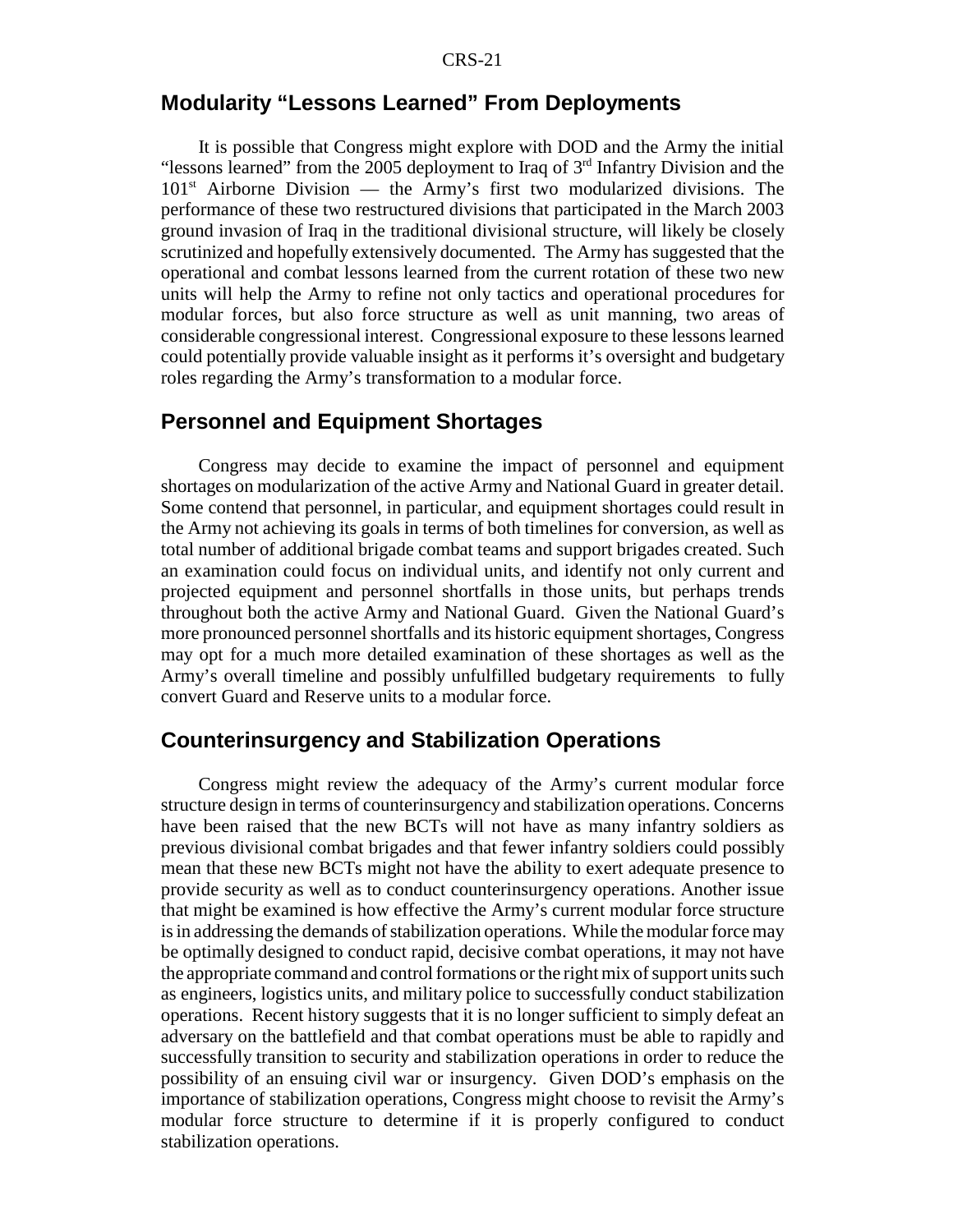### **Modularity "Lessons Learned" From Deployments**

It is possible that Congress might explore with DOD and the Army the initial "lessons learned" from the 2005 deployment to Iraq of  $3<sup>rd</sup>$  Infantry Division and the  $101<sup>st</sup>$  Airborne Division — the Army's first two modularized divisions. The performance of these two restructured divisions that participated in the March 2003 ground invasion of Iraq in the traditional divisional structure, will likely be closely scrutinized and hopefully extensively documented. The Army has suggested that the operational and combat lessons learned from the current rotation of these two new units will help the Army to refine not only tactics and operational procedures for modular forces, but also force structure as well as unit manning, two areas of considerable congressional interest. Congressional exposure to these lessons learned could potentially provide valuable insight as it performs it's oversight and budgetary roles regarding the Army's transformation to a modular force.

## **Personnel and Equipment Shortages**

Congress may decide to examine the impact of personnel and equipment shortages on modularization of the active Army and National Guard in greater detail. Some contend that personnel, in particular, and equipment shortages could result in the Army not achieving its goals in terms of both timelines for conversion, as well as total number of additional brigade combat teams and support brigades created. Such an examination could focus on individual units, and identify not only current and projected equipment and personnel shortfalls in those units, but perhaps trends throughout both the active Army and National Guard. Given the National Guard's more pronounced personnel shortfalls and its historic equipment shortages, Congress may opt for a much more detailed examination of these shortages as well as the Army's overall timeline and possibly unfulfilled budgetary requirements to fully convert Guard and Reserve units to a modular force.

# **Counterinsurgency and Stabilization Operations**

Congress might review the adequacy of the Army's current modular force structure design in terms of counterinsurgency and stabilization operations. Concerns have been raised that the new BCTs will not have as many infantry soldiers as previous divisional combat brigades and that fewer infantry soldiers could possibly mean that these new BCTs might not have the ability to exert adequate presence to provide security as well as to conduct counterinsurgency operations. Another issue that might be examined is how effective the Army's current modular force structure is in addressing the demands of stabilization operations. While the modular force may be optimally designed to conduct rapid, decisive combat operations, it may not have the appropriate command and control formations or the right mix of support units such as engineers, logistics units, and military police to successfully conduct stabilization operations. Recent history suggests that it is no longer sufficient to simply defeat an adversary on the battlefield and that combat operations must be able to rapidly and successfully transition to security and stabilization operations in order to reduce the possibility of an ensuing civil war or insurgency. Given DOD's emphasis on the importance of stabilization operations, Congress might choose to revisit the Army's modular force structure to determine if it is properly configured to conduct stabilization operations.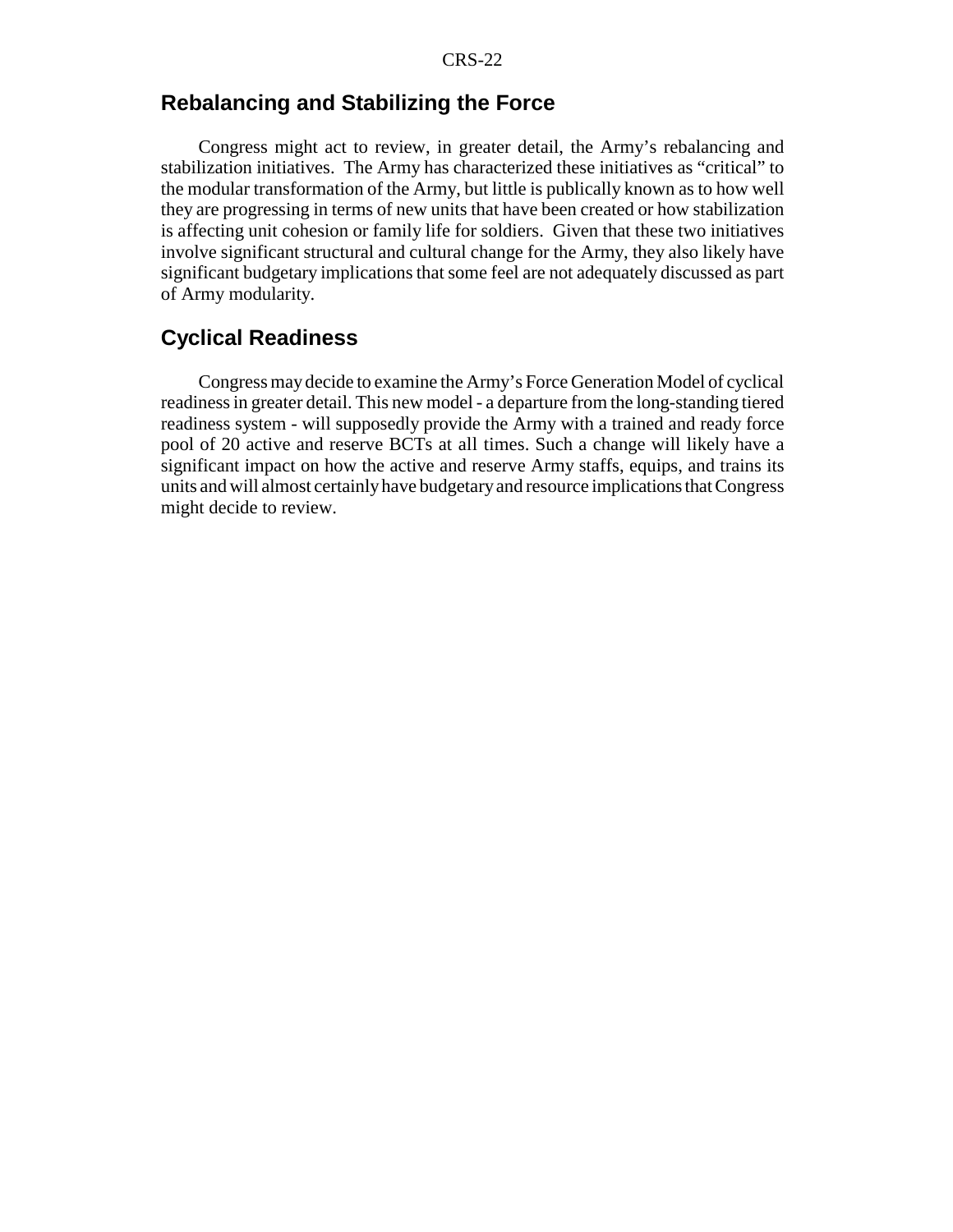# **Rebalancing and Stabilizing the Force**

Congress might act to review, in greater detail, the Army's rebalancing and stabilization initiatives. The Army has characterized these initiatives as "critical" to the modular transformation of the Army, but little is publically known as to how well they are progressing in terms of new units that have been created or how stabilization is affecting unit cohesion or family life for soldiers. Given that these two initiatives involve significant structural and cultural change for the Army, they also likely have significant budgetary implications that some feel are not adequately discussed as part of Army modularity.

# **Cyclical Readiness**

Congress may decide to examine the Army's Force Generation Model of cyclical readiness in greater detail. This new model - a departure from the long-standing tiered readiness system - will supposedly provide the Army with a trained and ready force pool of 20 active and reserve BCTs at all times. Such a change will likely have a significant impact on how the active and reserve Army staffs, equips, and trains its units and will almost certainly have budgetary and resource implications that Congress might decide to review.